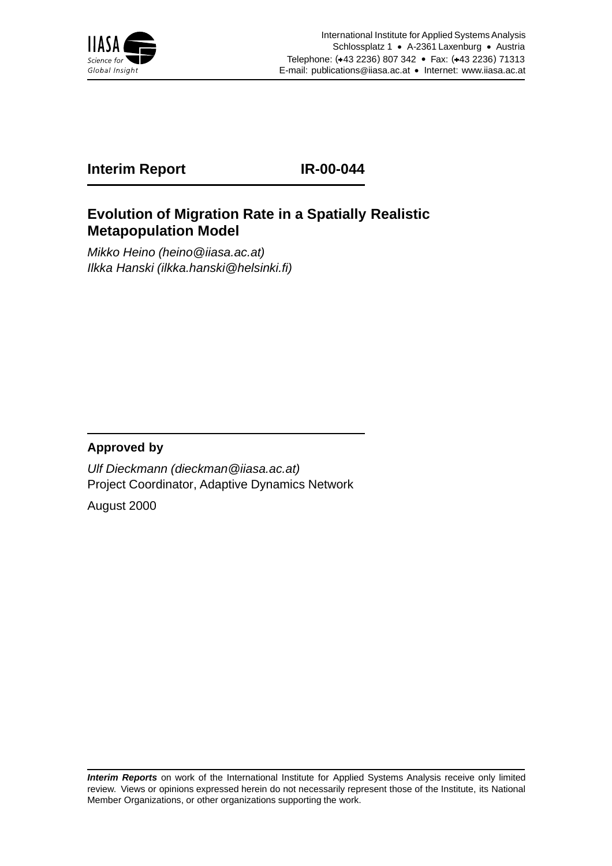

# **Interim Report IR-00-044**

# **Evolution of Migration Rate in a Spatially Realistic Metapopulation Model**

Mikko Heino (heino@iiasa.ac.at) Ilkka Hanski (ilkka.hanski@helsinki.fi)

## **Approved by**

Ulf Dieckmann (dieckman@iiasa.ac.at) Project Coordinator, Adaptive Dynamics Network

August 2000

**Interim Reports** on work of the International Institute for Applied Systems Analysis receive only limited review. Views or opinions expressed herein do not necessarily represent those of the Institute, its National Member Organizations, or other organizations supporting the work.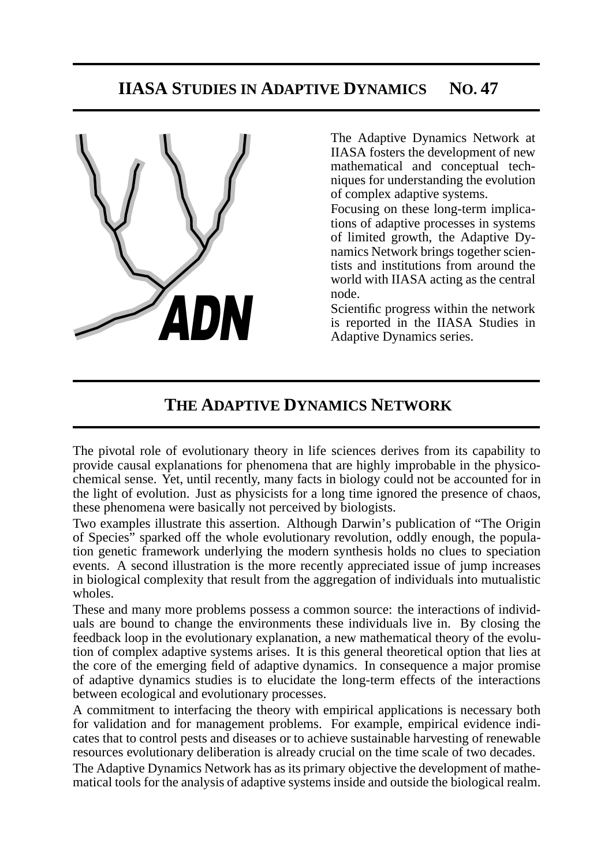# **IIASA STUDIES IN ADAPTIVE DYNAMICS NO. 47**



The Adaptive Dynamics Network at IIASA fosters the development of new mathematical and conceptual techniques for understanding the evolution of complex adaptive systems.

Focusing on these long-term implications of adaptive processes in systems of limited growth, the Adaptive Dynamics Network brings together scientists and institutions from around the world with IIASA acting as the central node.

Scientific progress within the network is reported in the IIASA Studies in Adaptive Dynamics series.

# **THE ADAPTIVE DYNAMICS NETWORK**

The pivotal role of evolutionary theory in life sciences derives from its capability to provide causal explanations for phenomena that are highly improbable in the physicochemical sense. Yet, until recently, many facts in biology could not be accounted for in the light of evolution. Just as physicists for a long time ignored the presence of chaos, these phenomena were basically not perceived by biologists.

Two examples illustrate this assertion. Although Darwin's publication of "The Origin of Species" sparked off the whole evolutionary revolution, oddly enough, the population genetic framework underlying the modern synthesis holds no clues to speciation events. A second illustration is the more recently appreciated issue of jump increases in biological complexity that result from the aggregation of individuals into mutualistic wholes.

These and many more problems possess a common source: the interactions of individuals are bound to change the environments these individuals live in. By closing the feedback loop in the evolutionary explanation, a new mathematical theory of the evolution of complex adaptive systems arises. It is this general theoretical option that lies at the core of the emerging field of adaptive dynamics. In consequence a major promise of adaptive dynamics studies is to elucidate the long-term effects of the interactions between ecological and evolutionary processes.

A commitment to interfacing the theory with empirical applications is necessary both for validation and for management problems. For example, empirical evidence indicates that to control pests and diseases or to achieve sustainable harvesting of renewable resources evolutionary deliberation is already crucial on the time scale of two decades.

The Adaptive Dynamics Network has as its primary objective the development of mathematical tools for the analysis of adaptive systems inside and outside the biological realm.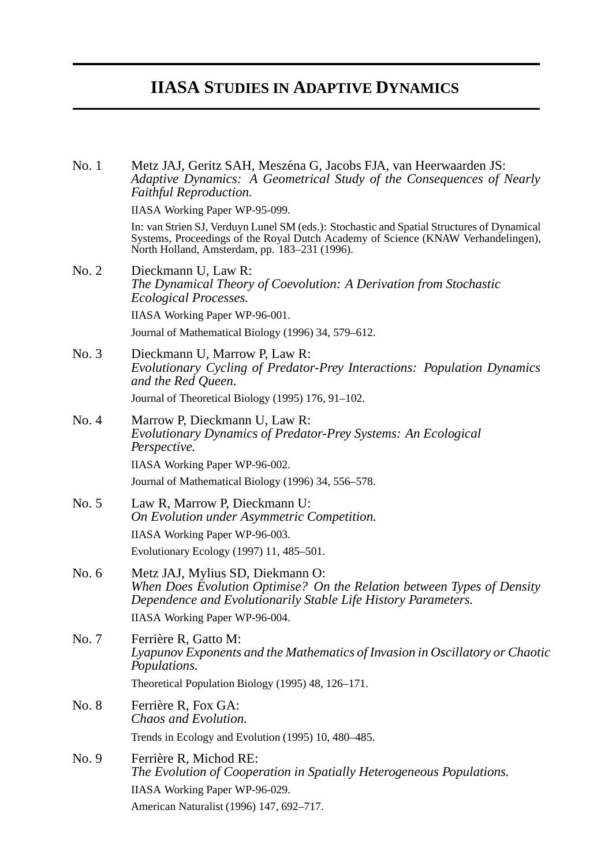# **IIASA STUDIES IN ADAPTIVE DYNAMICS**

No. 1 Metz JAJ, Geritz SAH, Meszéna G, Jacobs FJA, van Heerwaarden JS: *Adaptive Dynamics: A Geometrical Study of the Consequences of Nearly Faithful Reproduction.* IIASA Working Paper WP-95-099. In: van Strien SJ, Verduyn Lunel SM (eds.): Stochastic and Spatial Structures of Dynamical Systems, Proceedings of the Royal Dutch Academy of Science (KNAW Verhandelingen), North Holland, Amsterdam, pp. 183–231 (1996). No. 2 Dieckmann U, Law R: *The Dynamical Theory of Coevolution: A Derivation from Stochastic Ecological Processes.* IIASA Working Paper WP-96-001. Journal of Mathematical Biology (1996) 34, 579–612. No. 3 Dieckmann U, Marrow P, Law R: *Evolutionary Cycling of Predator-Prey Interactions: Population Dynamics and the Red Queen.* Journal of Theoretical Biology (1995) 176, 91–102. No. 4 Marrow P, Dieckmann U, Law R: *Evolutionary Dynamics of Predator-Prey Systems: An Ecological Perspective.* IIASA Working Paper WP-96-002. Journal of Mathematical Biology (1996) 34, 556–578. No. 5 Law R, Marrow P, Dieckmann U: *On Evolution under Asymmetric Competition.* IIASA Working Paper WP-96-003. Evolutionary Ecology (1997) 11, 485–501. No. 6 Metz JAJ, Mylius SD, Diekmann O: *When Does Evolution Optimise? On the Relation between Types of Density Dependence and Evolutionarily Stable Life History Parameters.* IIASA Working Paper WP-96-004. No. 7 Ferrière R, Gatto M: *Lyapunov Exponents and the Mathematics of Invasion in Oscillatory or Chaotic Populations.* Theoretical Population Biology (1995) 48, 126–171. No. 8 Ferrière R, Fox GA: *Chaos and Evolution.* Trends in Ecology and Evolution (1995) 10, 480–485. No. 9 Ferrière R, Michod RE: *The Evolution of Cooperation in Spatially Heterogeneous Populations.* IIASA Working Paper WP-96-029. American Naturalist (1996) 147, 692–717.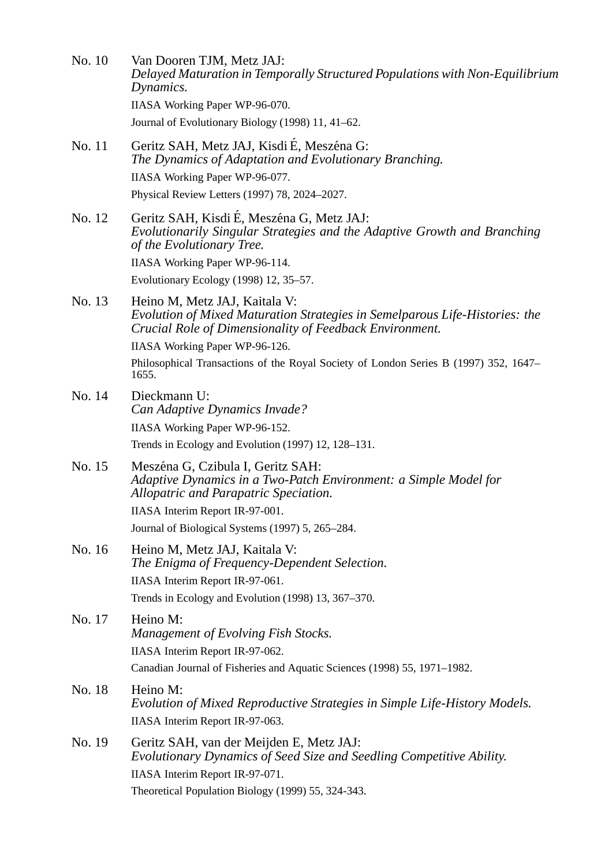- No. 10 Van Dooren TJM, Metz JAJ: *Delayed Maturation in Temporally Structured Populations with Non-Equilibrium Dynamics.* IIASA Working Paper WP-96-070. Journal of Evolutionary Biology (1998) 11, 41–62. No. 11 Geritz SAH, Metz JAJ, Kisdi É, Meszéna G:
- *The Dynamics of Adaptation and Evolutionary Branching.* IIASA Working Paper WP-96-077. Physical Review Letters (1997) 78, 2024–2027.
- No. 12 Geritz SAH, Kisdi É, Meszéna G, Metz JAJ: *Evolutionarily Singular Strategies and the Adaptive Growth and Branching of the Evolutionary Tree.* IIASA Working Paper WP-96-114. Evolutionary Ecology (1998) 12, 35–57.

## No. 13 Heino M, Metz JAJ, Kaitala V: *Evolution of Mixed Maturation Strategies in Semelparous Life-Histories: the Crucial Role of Dimensionality of Feedback Environment.*

IIASA Working Paper WP-96-126.

Philosophical Transactions of the Royal Society of London Series B (1997) 352, 1647– 1655.

- No. 14 Dieckmann U: *Can Adaptive Dynamics Invade?* IIASA Working Paper WP-96-152. Trends in Ecology and Evolution (1997) 12, 128–131.
- No. 15 Meszéna G, Czibula I, Geritz SAH: *Adaptive Dynamics in a Two-Patch Environment: a Simple Model for Allopatric and Parapatric Speciation.* IIASA Interim Report IR-97-001. Journal of Biological Systems (1997) 5, 265–284.
- No. 16 Heino M, Metz JAJ, Kaitala V: *The Enigma of Frequency-Dependent Selection.* IIASA Interim Report IR-97-061. Trends in Ecology and Evolution (1998) 13, 367–370.
- No. 17 Heino M: *Management of Evolving Fish Stocks.* IIASA Interim Report IR-97-062. Canadian Journal of Fisheries and Aquatic Sciences (1998) 55, 1971–1982. No. 18 Heino M:
	- *Evolution of Mixed Reproductive Strategies in Simple Life-History Models.* IIASA Interim Report IR-97-063.
- No. 19 Geritz SAH, van der Meijden E, Metz JAJ: *Evolutionary Dynamics of Seed Size and Seedling Competitive Ability.* IIASA Interim Report IR-97-071. Theoretical Population Biology (1999) 55, 324-343.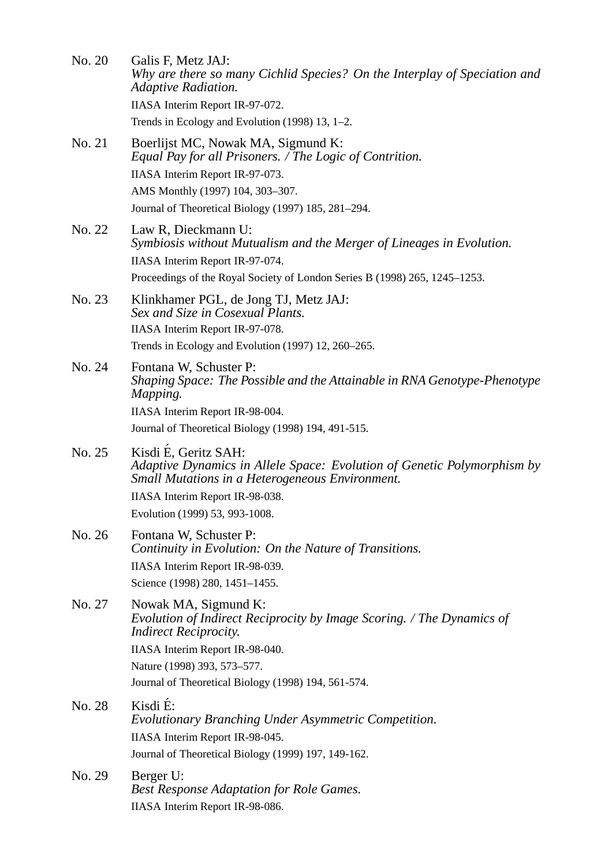|        | Galis F, Metz JAJ:<br>Why are there so many Cichlid Species? On the Interplay of Speciation and<br><b>Adaptive Radiation.</b>                                                                                |
|--------|--------------------------------------------------------------------------------------------------------------------------------------------------------------------------------------------------------------|
|        | IIASA Interim Report IR-97-072.<br>Trends in Ecology and Evolution (1998) 13, 1–2.                                                                                                                           |
| No. 21 | Boerlijst MC, Nowak MA, Sigmund K:<br>Equal Pay for all Prisoners. / The Logic of Contrition.                                                                                                                |
|        | IIASA Interim Report IR-97-073.                                                                                                                                                                              |
|        | AMS Monthly (1997) 104, 303-307.                                                                                                                                                                             |
|        | Journal of Theoretical Biology (1997) 185, 281–294.                                                                                                                                                          |
| No. 22 | Law R, Dieckmann U:<br>Symbiosis without Mutualism and the Merger of Lineages in Evolution.<br>IIASA Interim Report IR-97-074.<br>Proceedings of the Royal Society of London Series B (1998) 265, 1245–1253. |
| No. 23 | Klinkhamer PGL, de Jong TJ, Metz JAJ:<br>Sex and Size in Cosexual Plants.                                                                                                                                    |
|        | IIASA Interim Report IR-97-078.<br>Trends in Ecology and Evolution (1997) 12, 260-265.                                                                                                                       |
| No. 24 | Fontana W, Schuster P:<br>Shaping Space: The Possible and the Attainable in RNA Genotype-Phenotype<br>Mapping.                                                                                               |
|        | IIASA Interim Report IR-98-004.                                                                                                                                                                              |
|        | Journal of Theoretical Biology (1998) 194, 491-515.                                                                                                                                                          |
| No. 25 | Kisdi É, Geritz SAH:<br>Adaptive Dynamics in Allele Space: Evolution of Genetic Polymorphism by<br><b>Small Mutations in a Heterogeneous Environment.</b>                                                    |
|        | IIASA Interim Report IR-98-038.                                                                                                                                                                              |
|        | Evolution (1999) 53, 993-1008.                                                                                                                                                                               |
|        |                                                                                                                                                                                                              |
| No. 26 | Fontana W, Schuster P:<br>Continuity in Evolution: On the Nature of Transitions.                                                                                                                             |
|        | IIASA Interim Report IR-98-039.                                                                                                                                                                              |
|        | Science (1998) 280, 1451-1455.                                                                                                                                                                               |
| No. 27 | Nowak MA, Sigmund K:<br>Evolution of Indirect Reciprocity by Image Scoring. / The Dynamics of<br><i>Indirect Reciprocity.</i>                                                                                |
|        | IIASA Interim Report IR-98-040.                                                                                                                                                                              |
|        | Nature (1998) 393, 573–577.                                                                                                                                                                                  |
|        | Journal of Theoretical Biology (1998) 194, 561-574.                                                                                                                                                          |
| No. 28 | Kisdi É:<br>Evolutionary Branching Under Asymmetric Competition.                                                                                                                                             |
|        | IIASA Interim Report IR-98-045.                                                                                                                                                                              |
|        | Journal of Theoretical Biology (1999) 197, 149-162.                                                                                                                                                          |
| No. 29 | Berger U:<br><b>Best Response Adaptation for Role Games.</b>                                                                                                                                                 |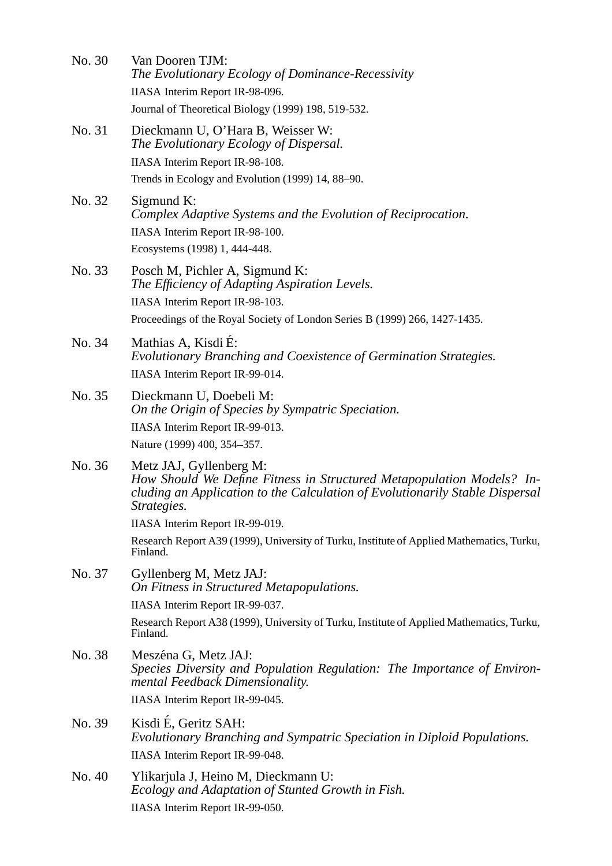| No. 30 | Van Dooren TJM:<br>The Evolutionary Ecology of Dominance-Recessivity                                                                                                                            |
|--------|-------------------------------------------------------------------------------------------------------------------------------------------------------------------------------------------------|
|        | IIASA Interim Report IR-98-096.                                                                                                                                                                 |
|        | Journal of Theoretical Biology (1999) 198, 519-532.                                                                                                                                             |
| No. 31 | Dieckmann U, O'Hara B, Weisser W:<br>The Evolutionary Ecology of Dispersal.                                                                                                                     |
|        | IIASA Interim Report IR-98-108.                                                                                                                                                                 |
|        | Trends in Ecology and Evolution (1999) 14, 88–90.                                                                                                                                               |
| No. 32 | Sigmund $K$ :<br>Complex Adaptive Systems and the Evolution of Reciprocation.                                                                                                                   |
|        | IIASA Interim Report IR-98-100.                                                                                                                                                                 |
|        | Ecosystems (1998) 1, 444-448.                                                                                                                                                                   |
| No. 33 | Posch M, Pichler A, Sigmund K:<br>The Efficiency of Adapting Aspiration Levels.                                                                                                                 |
|        | IIASA Interim Report IR-98-103.                                                                                                                                                                 |
|        | Proceedings of the Royal Society of London Series B (1999) 266, 1427-1435.                                                                                                                      |
| No. 34 | Mathias A, Kisdi É:<br>Evolutionary Branching and Coexistence of Germination Strategies.                                                                                                        |
|        | IIASA Interim Report IR-99-014.                                                                                                                                                                 |
| No. 35 | Dieckmann U, Doebeli M:<br>On the Origin of Species by Sympatric Speciation.                                                                                                                    |
|        | IIASA Interim Report IR-99-013.<br>Nature (1999) 400, 354–357.                                                                                                                                  |
| No. 36 | Metz JAJ, Gyllenberg M:<br>How Should We Define Fitness in Structured Metapopulation Models? In-<br>cluding an Application to the Calculation of Evolutionarily Stable Dispersal<br>Strategies. |
|        | IIASA Interim Report IR-99-019.                                                                                                                                                                 |
|        | Research Report A39 (1999), University of Turku, Institute of Applied Mathematics, Turku,<br>Finland.                                                                                           |
| No. 37 | Gyllenberg M, Metz JAJ:<br>On Fitness in Structured Metapopulations.                                                                                                                            |
|        | IIASA Interim Report IR-99-037.                                                                                                                                                                 |
|        | Research Report A38 (1999), University of Turku, Institute of Applied Mathematics, Turku,<br>Finland.                                                                                           |
| No. 38 | Meszéna G, Metz JAJ:<br>Species Diversity and Population Regulation: The Importance of Environ-<br>mental Feedback Dimensionality.                                                              |
|        | IIASA Interim Report IR-99-045.                                                                                                                                                                 |
| No. 39 | Kisdi É, Geritz SAH:<br>Evolutionary Branching and Sympatric Speciation in Diploid Populations.<br>IIASA Interim Report IR-99-048.                                                              |
| No. 40 | Ylikarjula J, Heino M, Dieckmann U:                                                                                                                                                             |
|        | Ecology and Adaptation of Stunted Growth in Fish.<br>IIASA Interim Report IR-99-050.                                                                                                            |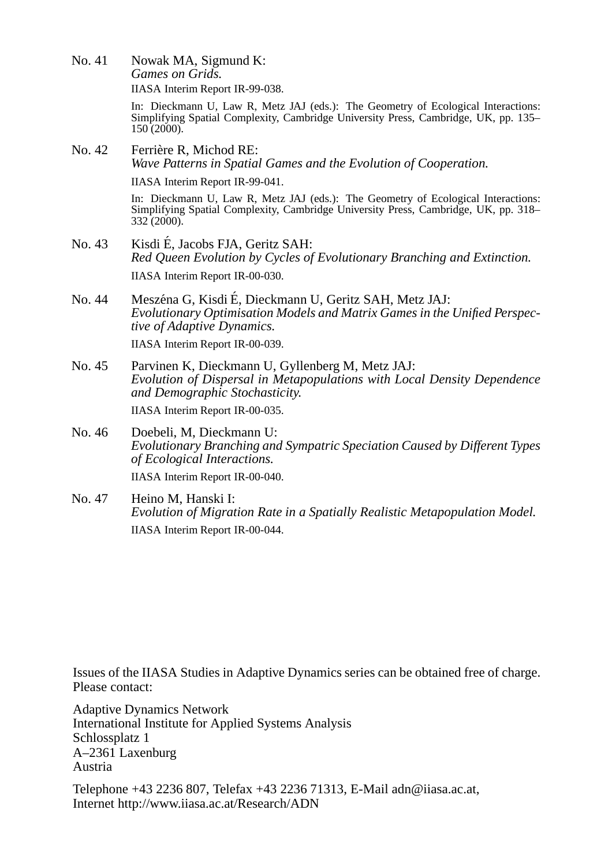No. 41 Nowak MA, Sigmund K: *Games on Grids.* IIASA Interim Report IR-99-038.

> In: Dieckmann U, Law R, Metz JAJ (eds.): The Geometry of Ecological Interactions: Simplifying Spatial Complexity, Cambridge University Press, Cambridge, UK, pp. 135–  $150(2000)$ .

No. 42 Ferrière R, Michod RE: *Wave Patterns in Spatial Games and the Evolution of Cooperation.* IIASA Interim Report IR-99-041.

> In: Dieckmann U, Law R, Metz JAJ (eds.): The Geometry of Ecological Interactions: Simplifying Spatial Complexity, Cambridge University Press, Cambridge, UK, pp. 318–  $332(2000)$ .

- No. 43 Kisdi E, Jacobs FJA, Geritz SAH: ´ *Red Queen Evolution by Cycles of Evolutionary Branching and Extinction.* IIASA Interim Report IR-00-030.
- No. 44 Meszéna G, Kisdi É, Dieckmann U, Geritz SAH, Metz JAJ: *Evolutionary Optimisation Models and Matrix Games in the Unified Perspective of Adaptive Dynamics.* IIASA Interim Report IR-00-039.
- No. 45 Parvinen K, Dieckmann U, Gyllenberg M, Metz JAJ: *Evolution of Dispersal in Metapopulations with Local Density Dependence and Demographic Stochasticity.*

IIASA Interim Report IR-00-035.

- No. 46 Doebeli, M, Dieckmann U: *Evolutionary Branching and Sympatric Speciation Caused by Different Types of Ecological Interactions.* IIASA Interim Report IR-00-040.
- No. 47 Heino M, Hanski I: *Evolution of Migration Rate in a Spatially Realistic Metapopulation Model.* IIASA Interim Report IR-00-044.

Issues of the IIASA Studies in Adaptive Dynamics series can be obtained free of charge. Please contact:

Adaptive Dynamics Network International Institute for Applied Systems Analysis Schlossplatz 1 A–2361 Laxenburg Austria

Telephone +43 2236 807, Telefax +43 2236 71313, E-Mail adn@iiasa.ac.at, Internet http://www.iiasa.ac.at/Research/ADN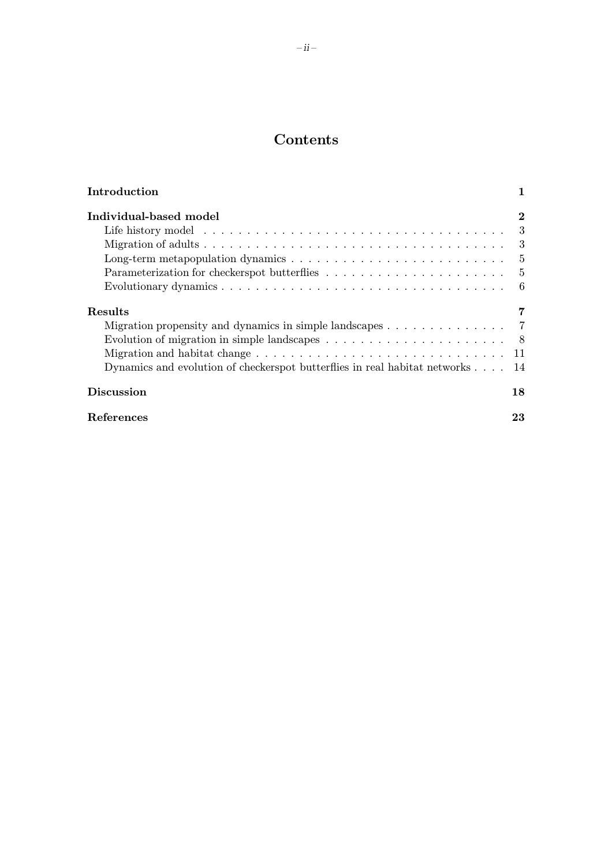# Contents

| Introduction                                                                                  |          |
|-----------------------------------------------------------------------------------------------|----------|
| Individual-based model                                                                        | $\bf{2}$ |
|                                                                                               | 3        |
|                                                                                               | 3        |
|                                                                                               | $-5$     |
|                                                                                               | $-5$     |
|                                                                                               | 6        |
| Results                                                                                       | 7        |
| Migration propensity and dynamics in simple landscapes $\dots \dots \dots \dots$              |          |
| Evolution of migration in simple landscapes $\dots \dots \dots \dots \dots \dots \dots \dots$ | 8        |
|                                                                                               | 11       |
| Dynamics and evolution of checkerspot butterflies in real habitat networks 14                 |          |
| <b>Discussion</b>                                                                             | 18       |
| References                                                                                    | 23       |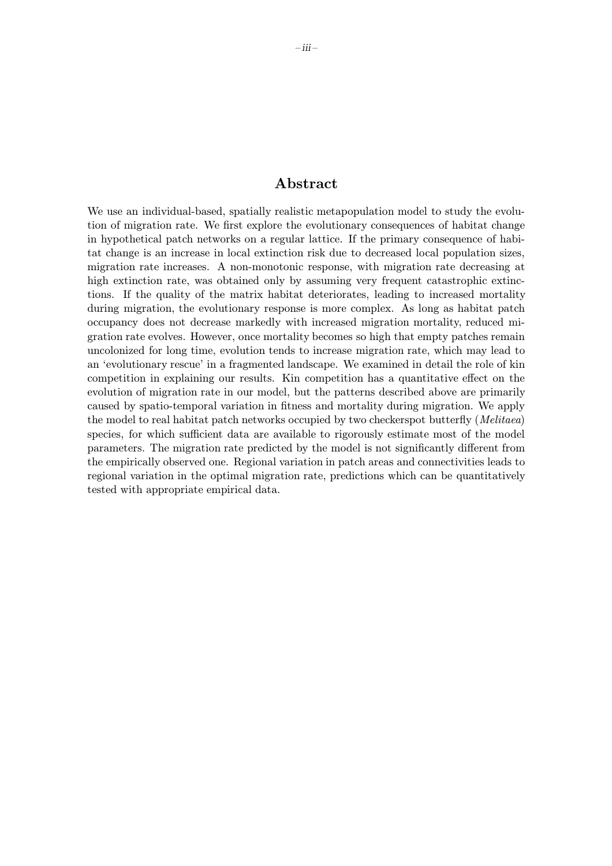### Abstract

We use an individual-based, spatially realistic metapopulation model to study the evolution of migration rate. We first explore the evolutionary consequences of habitat change in hypothetical patch networks on a regular lattice. If the primary consequence of habitat change is an increase in local extinction risk due to decreased local population sizes, migration rate increases. A non-monotonic response, with migration rate decreasing at high extinction rate, was obtained only by assuming very frequent catastrophic extinctions. If the quality of the matrix habitat deteriorates, leading to increased mortality during migration, the evolutionary response is more complex. As long as habitat patch occupancy does not decrease markedly with increased migration mortality, reduced migration rate evolves. However, once mortality becomes so high that empty patches remain uncolonized for long time, evolution tends to increase migration rate, which may lead to an 'evolutionary rescue' in a fragmented landscape. We examined in detail the role of kin competition in explaining our results. Kin competition has a quantitative effect on the evolution of migration rate in our model, but the patterns described above are primarily caused by spatio-temporal variation in fitness and mortality during migration. We apply the model to real habitat patch networks occupied by two checkerspot butterfly (*Melitaea*) species, for which sufficient data are available to rigorously estimate most of the model parameters. The migration rate predicted by the model is not significantly different from the empirically observed one. Regional variation in patch areas and connectivities leads to regional variation in the optimal migration rate, predictions which can be quantitatively tested with appropriate empirical data.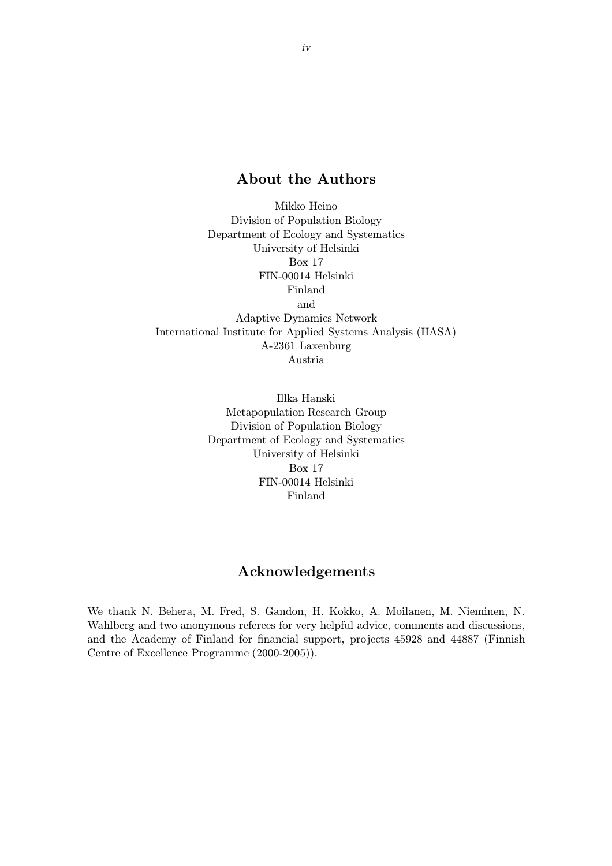## About the Authors

Mikko Heino Division of Population Biology Department of Ecology and Systematics University of Helsinki Box 17 FIN-00014 Helsinki Finland and Adaptive Dynamics Network International Institute for Applied Systems Analysis (IIASA) A-2361 Laxenburg Austria

> Illka Hanski Metapopulation Research Group Division of Population Biology Department of Ecology and Systematics University of Helsinki Box 17 FIN-00014 Helsinki Finland

## Acknowledgements

We thank N. Behera, M. Fred, S. Gandon, H. Kokko, A. Moilanen, M. Nieminen, N. Wahlberg and two anonymous referees for very helpful advice, comments and discussions, and the Academy of Finland for financial support, projects 45928 and 44887 (Finnish Centre of Excellence Programme (2000-2005)).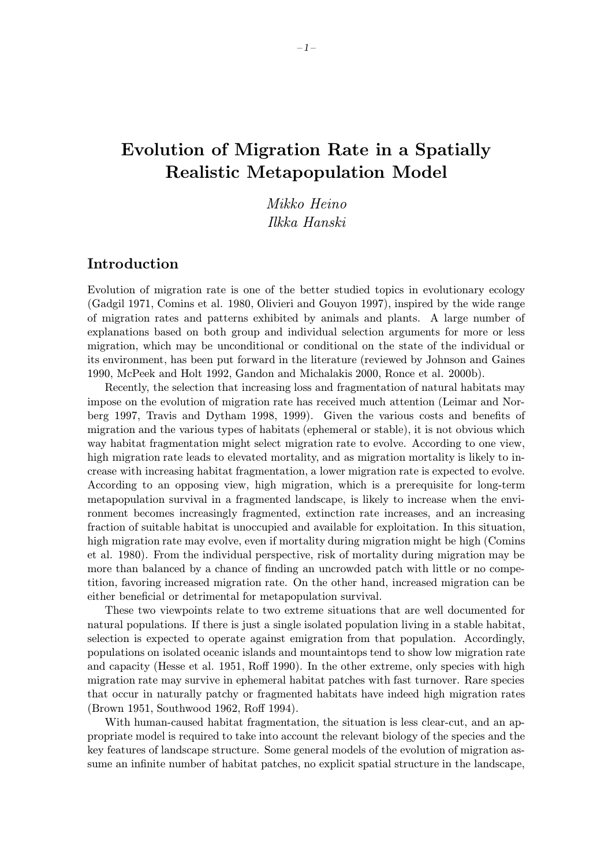# Evolution of Migration Rate in a Spatially Realistic Metapopulation Model

Mikko Heino Ilkka Hanski

### Introduction

Evolution of migration rate is one of the better studied topics in evolutionary ecology (Gadgil 1971, Comins et al. 1980, Olivieri and Gouyon 1997), inspired by the wide range of migration rates and patterns exhibited by animals and plants. A large number of explanations based on both group and individual selection arguments for more or less migration, which may be unconditional or conditional on the state of the individual or its environment, has been put forward in the literature (reviewed by Johnson and Gaines 1990, McPeek and Holt 1992, Gandon and Michalakis 2000, Ronce et al. 2000b).

Recently, the selection that increasing loss and fragmentation of natural habitats may impose on the evolution of migration rate has received much attention (Leimar and Norberg 1997, Travis and Dytham 1998, 1999). Given the various costs and benefits of migration and the various types of habitats (ephemeral or stable), it is not obvious which way habitat fragmentation might select migration rate to evolve. According to one view, high migration rate leads to elevated mortality, and as migration mortality is likely to increase with increasing habitat fragmentation, a lower migration rate is expected to evolve. According to an opposing view, high migration, which is a prerequisite for long-term metapopulation survival in a fragmented landscape, is likely to increase when the environment becomes increasingly fragmented, extinction rate increases, and an increasing fraction of suitable habitat is unoccupied and available for exploitation. In this situation, high migration rate may evolve, even if mortality during migration might be high (Comins et al. 1980). From the individual perspective, risk of mortality during migration may be more than balanced by a chance of finding an uncrowded patch with little or no competition, favoring increased migration rate. On the other hand, increased migration can be either beneficial or detrimental for metapopulation survival.

These two viewpoints relate to two extreme situations that are well documented for natural populations. If there is just a single isolated population living in a stable habitat, selection is expected to operate against emigration from that population. Accordingly, populations on isolated oceanic islands and mountaintops tend to show low migration rate and capacity (Hesse et al. 1951, Roff 1990). In the other extreme, only species with high migration rate may survive in ephemeral habitat patches with fast turnover. Rare species that occur in naturally patchy or fragmented habitats have indeed high migration rates (Brown 1951, Southwood 1962, Roff 1994).

With human-caused habitat fragmentation, the situation is less clear-cut, and an appropriate model is required to take into account the relevant biology of the species and the key features of landscape structure. Some general models of the evolution of migration assume an infinite number of habitat patches, no explicit spatial structure in the landscape,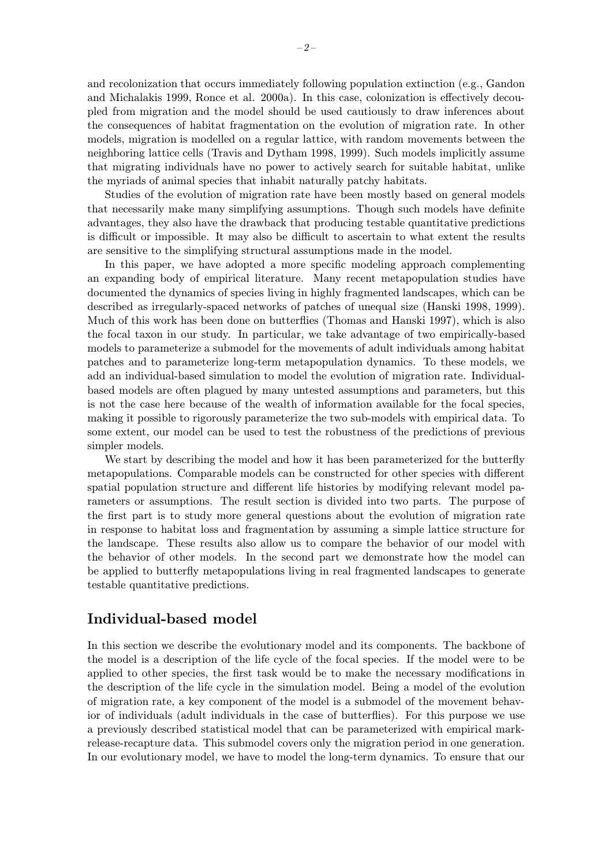and recolonization that occurs immediately following population extinction (e.g., Gandon and Michalakis 1999, Ronce et al. 2000a). In this case, colonization is effectively decoupled from migration and the model should be used cautiously to draw inferences about the consequences of habitat fragmentation on the evolution of migration rate. In other models, migration is modelled on a regular lattice, with random movements between the neighboring lattice cells (Travis and Dytham 1998, 1999). Such models implicitly assume that migrating individuals have no power to actively search for suitable habitat, unlike the myriads of animal species that inhabit naturally patchy habitats.

Studies of the evolution of migration rate have been mostly based on general models that necessarily make many simplifying assumptions. Though such models have definite advantages, they also have the drawback that producing testable quantitative predictions is difficult or impossible. It may also be difficult to ascertain to what extent the results are sensitive to the simplifying structural assumptions made in the model.

In this paper, we have adopted a more specific modeling approach complementing an expanding body of empirical literature. Many recent metapopulation studies have documented the dynamics of species living in highly fragmented landscapes, which can be described as irregularly-spaced networks of patches of unequal size (Hanski 1998, 1999). Much of this work has been done on butterflies (Thomas and Hanski 1997), which is also the focal taxon in our study. In particular, we take advantage of two empirically-based models to parameterize a submodel for the movements of adult individuals among habitat patches and to parameterize long-term metapopulation dynamics. To these models, we add an individual-based simulation to model the evolution of migration rate. Individualbased models are often plagued by many untested assumptions and parameters, but this is not the case here because of the wealth of information available for the focal species, making it possible to rigorously parameterize the two sub-models with empirical data. To some extent, our model can be used to test the robustness of the predictions of previous simpler models.

We start by describing the model and how it has been parameterized for the butterfly metapopulations. Comparable models can be constructed for other species with different spatial population structure and different life histories by modifying relevant model parameters or assumptions. The result section is divided into two parts. The purpose of the first part is to study more general questions about the evolution of migration rate in response to habitat loss and fragmentation by assuming a simple lattice structure for the landscape. These results also allow us to compare the behavior of our model with the behavior of other models. In the second part we demonstrate how the model can be applied to butterfly metapopulations living in real fragmented landscapes to generate testable quantitative predictions.

## Individual-based model

In this section we describe the evolutionary model and its components. The backbone of the model is a description of the life cycle of the focal species. If the model were to be applied to other species, the first task would be to make the necessary modifications in the description of the life cycle in the simulation model. Being a model of the evolution of migration rate, a key component of the model is a submodel of the movement behavior of individuals (adult individuals in the case of butterflies). For this purpose we use a previously described statistical model that can be parameterized with empirical markrelease-recapture data. This submodel covers only the migration period in one generation. In our evolutionary model, we have to model the long-term dynamics. To ensure that our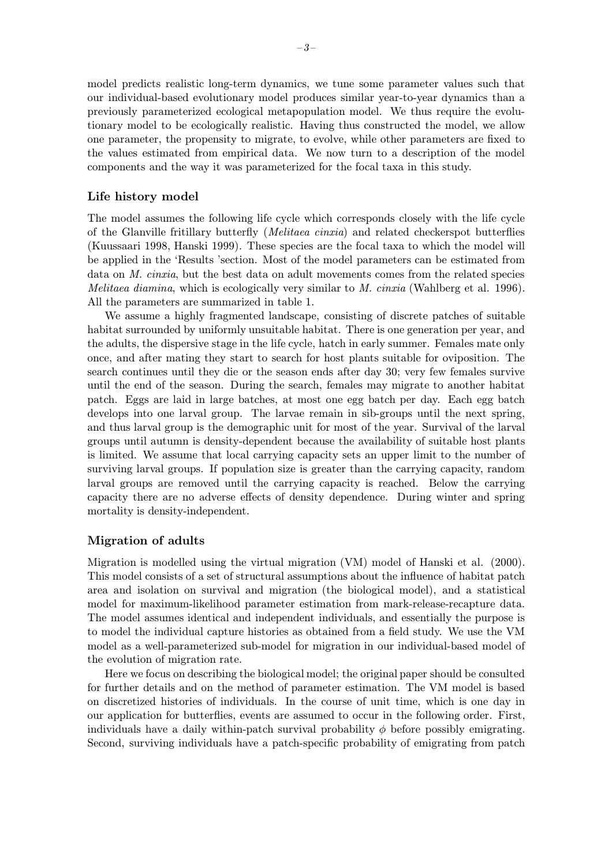model predicts realistic long-term dynamics, we tune some parameter values such that our individual-based evolutionary model produces similar year-to-year dynamics than a previously parameterized ecological metapopulation model. We thus require the evolutionary model to be ecologically realistic. Having thus constructed the model, we allow one parameter, the propensity to migrate, to evolve, while other parameters are fixed to the values estimated from empirical data. We now turn to a description of the model components and the way it was parameterized for the focal taxa in this study.

#### Life history model

The model assumes the following life cycle which corresponds closely with the life cycle of the Glanville fritillary butterfly (Melitaea cinxia) and related checkerspot butterflies (Kuussaari 1998, Hanski 1999). These species are the focal taxa to which the model will be applied in the 'Results 'section. Most of the model parameters can be estimated from data on *M. cinxia*, but the best data on adult movements comes from the related species *Melitaea diamina*, which is ecologically very similar to M. cinxia (Wahlberg et al. 1996). All the parameters are summarized in table 1.

We assume a highly fragmented landscape, consisting of discrete patches of suitable habitat surrounded by uniformly unsuitable habitat. There is one generation per year, and the adults, the dispersive stage in the life cycle, hatch in early summer. Females mate only once, and after mating they start to search for host plants suitable for oviposition. The search continues until they die or the season ends after day 30; very few females survive until the end of the season. During the search, females may migrate to another habitat patch. Eggs are laid in large batches, at most one egg batch per day. Each egg batch develops into one larval group. The larvae remain in sib-groups until the next spring, and thus larval group is the demographic unit for most of the year. Survival of the larval groups until autumn is density-dependent because the availability of suitable host plants is limited. We assume that local carrying capacity sets an upper limit to the number of surviving larval groups. If population size is greater than the carrying capacity, random larval groups are removed until the carrying capacity is reached. Below the carrying capacity there are no adverse effects of density dependence. During winter and spring mortality is density-independent.

#### Migration of adults

Migration is modelled using the virtual migration (VM) model of Hanski et al. (2000). This model consists of a set of structural assumptions about the influence of habitat patch area and isolation on survival and migration (the biological model), and a statistical model for maximum-likelihood parameter estimation from mark-release-recapture data. The model assumes identical and independent individuals, and essentially the purpose is to model the individual capture histories as obtained from a field study. We use the VM model as a well-parameterized sub-model for migration in our individual-based model of the evolution of migration rate.

Here we focus on describing the biological model; the original paper should be consulted for further details and on the method of parameter estimation. The VM model is based on discretized histories of individuals. In the course of unit time, which is one day in our application for butterflies, events are assumed to occur in the following order. First, individuals have a daily within-patch survival probability  $\phi$  before possibly emigrating. Second, surviving individuals have a patch-specific probability of emigrating from patch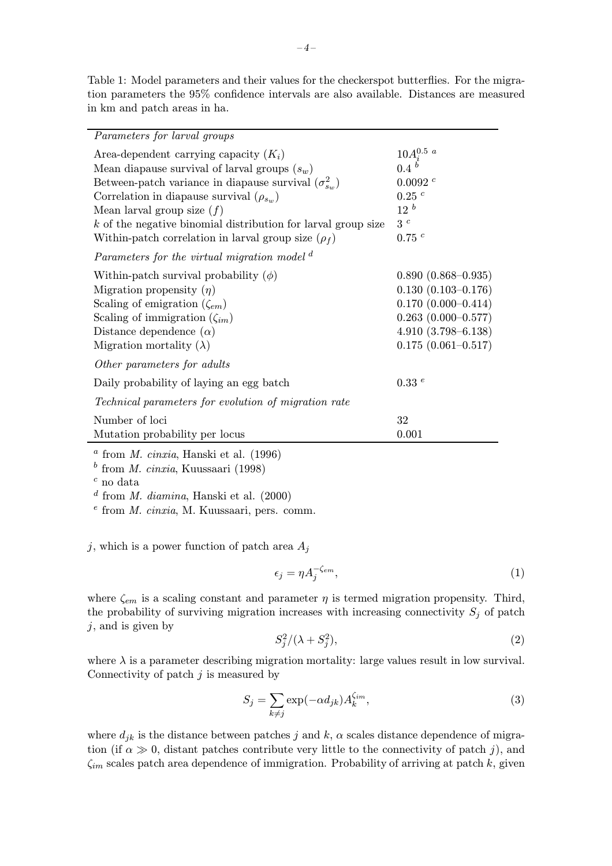Table 1: Model parameters and their values for the checkerspot butterflies. For the migration parameters the 95% confidence intervals are also available. Distances are measured in km and patch areas in ha.

| <i>Parameters for larval groups</i>                                   |                           |
|-----------------------------------------------------------------------|---------------------------|
| Area-dependent carrying capacity $(K_i)$                              | $10 A_i^{0.5\ a}$         |
| Mean diapause survival of larval groups $(s_w)$                       | 0.4 <sup>b</sup>          |
| Between-patch variance in diapause survival $(\sigma_{s_{\infty}}^2)$ | 0.0092 c                  |
| Correlation in diapause survival $(\rho_{s_m})$                       | $0.25$ <sup>c</sup>       |
| Mean larval group size $(f)$                                          | 12 <sup>b</sup>           |
| $k$ of the negative binomial distribution for larval group size       | 3c                        |
| Within-patch correlation in larval group size $(\rho_f)$              | 0.75c                     |
| Parameters for the virtual migration model <sup>d</sup>               |                           |
| Within-patch survival probability $(\phi)$                            | $0.890(0.868 - 0.935)$    |
| Migration propensity $(\eta)$                                         | $0.130(0.103 - 0.176)$    |
| Scaling of emigration $(\zeta_{em})$                                  | $0.170(0.000 - 0.414)$    |
| Scaling of immigration $(\zeta_{im})$                                 | $0.263$ $(0.000 - 0.577)$ |
| Distance dependence $(\alpha)$                                        | $4.910(3.798 - 6.138)$    |
| Migration mortality $(\lambda)$                                       | $0.175(0.061 - 0.517)$    |
| Other parameters for adults                                           |                           |
| Daily probability of laying an egg batch                              | 0.33e                     |
| Technical parameters for evolution of migration rate                  |                           |
| Number of loci                                                        | 32                        |
| Mutation probability per locus                                        | 0.001                     |
|                                                                       |                           |

 $a$  from *M. cinxia*, Hanski et al. (1996)

 $<sup>b</sup>$  from *M. cinxia*, Kuussaari (1998)</sup>

 $c$  no data

 $d$  from M. diamina, Hanski et al. (2000)

 $e$  from *M. cinxia*, M. Kuussaari, pers. comm.

j, which is a power function of patch area  $A_i$ 

$$
\epsilon_j = \eta A_j^{-\zeta_{em}},\tag{1}
$$

where  $\zeta_{em}$  is a scaling constant and parameter  $\eta$  is termed migration propensity. Third, the probability of surviving migration increases with increasing connectivity  $S_j$  of patch  $j$ , and is given by

$$
S_j^2/(\lambda + S_j^2),\tag{2}
$$

where  $\lambda$  is a parameter describing migration mortality: large values result in low survival. Connectivity of patch  $j$  is measured by

$$
S_j = \sum_{k \neq j} \exp(-\alpha d_{jk}) A_k^{\zeta_{im}}, \tag{3}
$$

where  $d_{jk}$  is the distance between patches j and k,  $\alpha$  scales distance dependence of migration (if  $\alpha \gg 0$ , distant patches contribute very little to the connectivity of patch j), and  $\zeta_{im}$  scales patch area dependence of immigration. Probability of arriving at patch k, given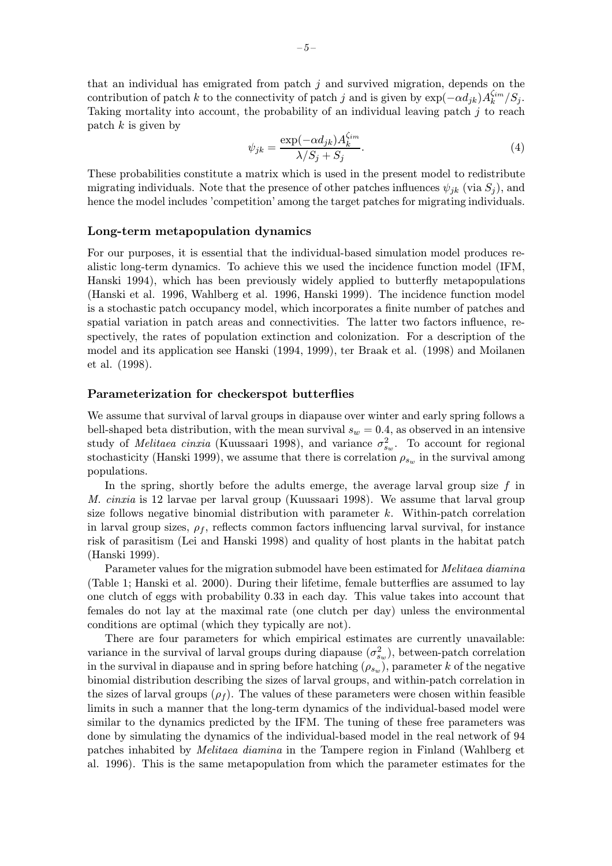that an individual has emigrated from patch  $j$  and survived migration, depends on the contribution of patch k to the connectivity of patch j and is given by  $\exp(-\alpha d_{jk})A_k^{\zeta_{im}}/S_j$ . Taking mortality into account, the probability of an individual leaving patch  $j$  to reach patch  $k$  is given by

$$
\psi_{jk} = \frac{\exp(-\alpha d_{jk})A_k^{\zeta_{im}}}{\lambda/S_j + S_j}.\tag{4}
$$

These probabilities constitute a matrix which is used in the present model to redistribute migrating individuals. Note that the presence of other patches influences  $\psi_{jk}$  (via  $S_j$ ), and hence the model includes 'competition' among the target patches for migrating individuals.

#### Long-term metapopulation dynamics

For our purposes, it is essential that the individual-based simulation model produces realistic long-term dynamics. To achieve this we used the incidence function model (IFM, Hanski 1994), which has been previously widely applied to butterfly metapopulations (Hanski et al. 1996, Wahlberg et al. 1996, Hanski 1999). The incidence function model is a stochastic patch occupancy model, which incorporates a finite number of patches and spatial variation in patch areas and connectivities. The latter two factors influence, respectively, the rates of population extinction and colonization. For a description of the model and its application see Hanski (1994, 1999), ter Braak et al. (1998) and Moilanen et al. (1998).

#### Parameterization for checkerspot butterflies

We assume that survival of larval groups in diapause over winter and early spring follows a bell-shaped beta distribution, with the mean survival  $s_w = 0.4$ , as observed in an intensive study of *Melitaea cinxia* (Kuussaari 1998), and variance  $\sigma_{s_w}^2$ . To account for regional stochasticity (Hanski 1999), we assume that there is correlation  $\rho_{s_w}$  in the survival among populations.

In the spring, shortly before the adults emerge, the average larval group size  $f$  in M. cinxia is 12 larvae per larval group (Kuussaari 1998). We assume that larval group size follows negative binomial distribution with parameter  $k$ . Within-patch correlation in larval group sizes,  $\rho_f$ , reflects common factors influencing larval survival, for instance risk of parasitism (Lei and Hanski 1998) and quality of host plants in the habitat patch (Hanski 1999).

Parameter values for the migration submodel have been estimated for Melitaea diamina (Table 1; Hanski et al. 2000). During their lifetime, female butterflies are assumed to lay one clutch of eggs with probability 0.33 in each day. This value takes into account that females do not lay at the maximal rate (one clutch per day) unless the environmental conditions are optimal (which they typically are not).

There are four parameters for which empirical estimates are currently unavailable: variance in the survival of larval groups during diapause  $(\sigma_{s_w}^2)$ , between-patch correlation in the survival in diapause and in spring before hatching  $(\rho_{s_w})$ , parameter k of the negative binomial distribution describing the sizes of larval groups, and within-patch correlation in the sizes of larval groups  $(\rho_f)$ . The values of these parameters were chosen within feasible limits in such a manner that the long-term dynamics of the individual-based model were similar to the dynamics predicted by the IFM. The tuning of these free parameters was done by simulating the dynamics of the individual-based model in the real network of 94 patches inhabited by *Melitaea diamina* in the Tampere region in Finland (Wahlberg et al. 1996). This is the same metapopulation from which the parameter estimates for the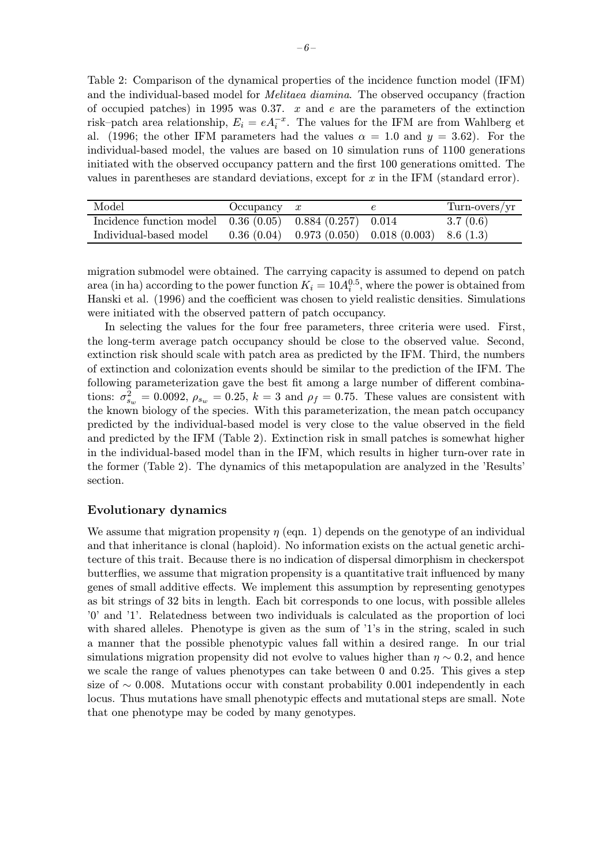Table 2: Comparison of the dynamical properties of the incidence function model (IFM) and the individual-based model for *Melitaea diamina*. The observed occupancy (fraction of occupied patches) in 1995 was 0.37.  $x$  and  $e$  are the parameters of the extinction risk–patch area relationship,  $E_i = e A_i^{-x}$ . The values for the IFM are from Wahlberg et al. (1996; the other IFM parameters had the values  $\alpha = 1.0$  and  $y = 3.62$ ). For the individual-based model, the values are based on 10 simulation runs of 1100 generations initiated with the observed occupancy pattern and the first 100 generations omitted. The values in parentheses are standard deviations, except for  $x$  in the IFM (standard error).

| Model                                                        | Occupancy $x$ |                                                      | Turn-overs/yr |
|--------------------------------------------------------------|---------------|------------------------------------------------------|---------------|
| Incidence function model $0.36(0.05)$ $0.884(0.257)$ $0.014$ |               |                                                      | 3.7(0.6)      |
| Individual-based model                                       |               | $0.36(0.04)$ $0.973(0.050)$ $0.018(0.003)$ 8.6 (1.3) |               |

migration submodel were obtained. The carrying capacity is assumed to depend on patch area (in ha) according to the power function  $K_i = 10A_i^{0.5}$ , where the power is obtained from Hanski et al. (1996) and the coefficient was chosen to yield realistic densities. Simulations were initiated with the observed pattern of patch occupancy.

In selecting the values for the four free parameters, three criteria were used. First, the long-term average patch occupancy should be close to the observed value. Second, extinction risk should scale with patch area as predicted by the IFM. Third, the numbers of extinction and colonization events should be similar to the prediction of the IFM. The following parameterization gave the best fit among a large number of different combinations:  $\sigma_{s_w}^2 = 0.0092$ ,  $\rho_{s_w} = 0.25$ ,  $k = 3$  and  $\rho_f = 0.75$ . These values are consistent with the known biology of the species. With this parameterization, the mean patch occupancy predicted by the individual-based model is very close to the value observed in the field and predicted by the IFM (Table 2). Extinction risk in small patches is somewhat higher in the individual-based model than in the IFM, which results in higher turn-over rate in the former (Table 2). The dynamics of this metapopulation are analyzed in the 'Results' section.

#### Evolutionary dynamics

We assume that migration propensity  $\eta$  (eqn. 1) depends on the genotype of an individual and that inheritance is clonal (haploid). No information exists on the actual genetic architecture of this trait. Because there is no indication of dispersal dimorphism in checkerspot butterflies, we assume that migration propensity is a quantitative trait influenced by many genes of small additive effects. We implement this assumption by representing genotypes as bit strings of 32 bits in length. Each bit corresponds to one locus, with possible alleles '0' and '1'. Relatedness between two individuals is calculated as the proportion of loci with shared alleles. Phenotype is given as the sum of '1's in the string, scaled in such a manner that the possible phenotypic values fall within a desired range. In our trial simulations migration propensity did not evolve to values higher than  $\eta \sim 0.2$ , and hence we scale the range of values phenotypes can take between 0 and 0.25. This gives a step size of  $\sim$  0.008. Mutations occur with constant probability 0.001 independently in each locus. Thus mutations have small phenotypic effects and mutational steps are small. Note that one phenotype may be coded by many genotypes.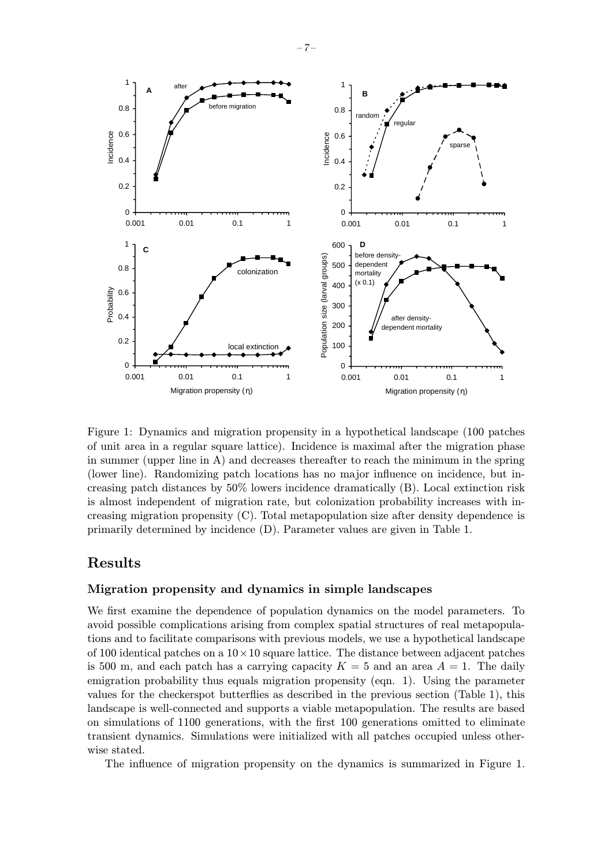

Figure 1: Dynamics and migration propensity in a hypothetical landscape (100 patches of unit area in a regular square lattice). Incidence is maximal after the migration phase in summer (upper line in A) and decreases thereafter to reach the minimum in the spring (lower line). Randomizing patch locations has no major influence on incidence, but increasing patch distances by 50% lowers incidence dramatically (B). Local extinction risk is almost independent of migration rate, but colonization probability increases with increasing migration propensity (C). Total metapopulation size after density dependence is primarily determined by incidence (D). Parameter values are given in Table 1.

### Results

#### Migration propensity and dynamics in simple landscapes

We first examine the dependence of population dynamics on the model parameters. To avoid possible complications arising from complex spatial structures of real metapopulations and to facilitate comparisons with previous models, we use a hypothetical landscape of 100 identical patches on a  $10 \times 10$  square lattice. The distance between adjacent patches is 500 m, and each patch has a carrying capacity  $K = 5$  and an area  $A = 1$ . The daily emigration probability thus equals migration propensity (eqn. 1). Using the parameter values for the checkerspot butterflies as described in the previous section (Table 1), this landscape is well-connected and supports a viable metapopulation. The results are based on simulations of 1100 generations, with the first 100 generations omitted to eliminate transient dynamics. Simulations were initialized with all patches occupied unless otherwise stated.

The influence of migration propensity on the dynamics is summarized in Figure 1.

–7–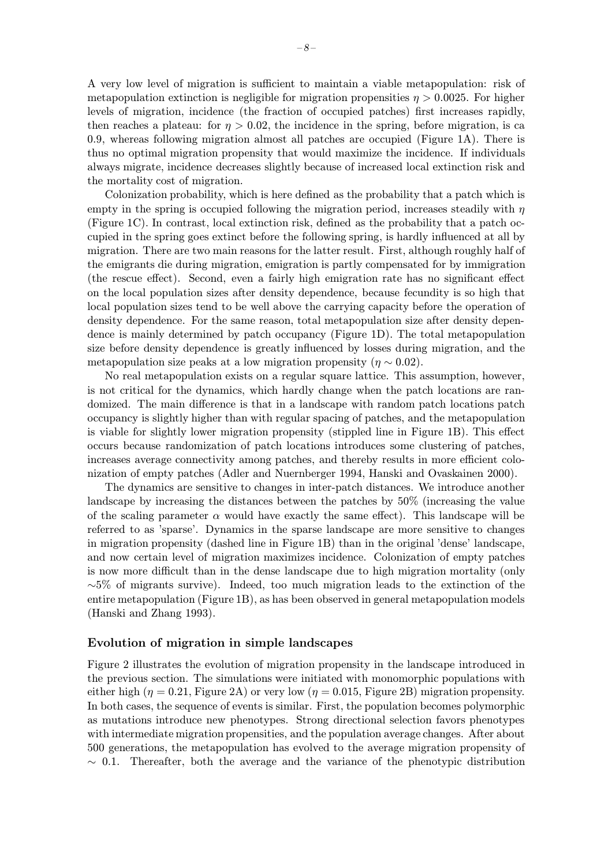A very low level of migration is sufficient to maintain a viable metapopulation: risk of metapopulation extinction is negligible for migration propensities  $\eta > 0.0025$ . For higher levels of migration, incidence (the fraction of occupied patches) first increases rapidly, then reaches a plateau: for  $\eta > 0.02$ , the incidence in the spring, before migration, is ca 0.9, whereas following migration almost all patches are occupied (Figure 1A). There is thus no optimal migration propensity that would maximize the incidence. If individuals always migrate, incidence decreases slightly because of increased local extinction risk and the mortality cost of migration.

Colonization probability, which is here defined as the probability that a patch which is empty in the spring is occupied following the migration period, increases steadily with  $\eta$ (Figure 1C). In contrast, local extinction risk, defined as the probability that a patch occupied in the spring goes extinct before the following spring, is hardly influenced at all by migration. There are two main reasons for the latter result. First, although roughly half of the emigrants die during migration, emigration is partly compensated for by immigration (the rescue effect). Second, even a fairly high emigration rate has no significant effect on the local population sizes after density dependence, because fecundity is so high that local population sizes tend to be well above the carrying capacity before the operation of density dependence. For the same reason, total metapopulation size after density dependence is mainly determined by patch occupancy (Figure 1D). The total metapopulation size before density dependence is greatly influenced by losses during migration, and the metapopulation size peaks at a low migration propensity ( $\eta \sim 0.02$ ).

No real metapopulation exists on a regular square lattice. This assumption, however, is not critical for the dynamics, which hardly change when the patch locations are randomized. The main difference is that in a landscape with random patch locations patch occupancy is slightly higher than with regular spacing of patches, and the metapopulation is viable for slightly lower migration propensity (stippled line in Figure 1B). This effect occurs because randomization of patch locations introduces some clustering of patches, increases average connectivity among patches, and thereby results in more efficient colonization of empty patches (Adler and Nuernberger 1994, Hanski and Ovaskainen 2000).

The dynamics are sensitive to changes in inter-patch distances. We introduce another landscape by increasing the distances between the patches by 50% (increasing the value of the scaling parameter  $\alpha$  would have exactly the same effect). This landscape will be referred to as 'sparse'. Dynamics in the sparse landscape are more sensitive to changes in migration propensity (dashed line in Figure 1B) than in the original 'dense' landscape, and now certain level of migration maximizes incidence. Colonization of empty patches is now more difficult than in the dense landscape due to high migration mortality (only  $~\sim$ 5% of migrants survive). Indeed, too much migration leads to the extinction of the entire metapopulation (Figure 1B), as has been observed in general metapopulation models (Hanski and Zhang 1993).

#### Evolution of migration in simple landscapes

Figure 2 illustrates the evolution of migration propensity in the landscape introduced in the previous section. The simulations were initiated with monomorphic populations with either high ( $\eta = 0.21$ , Figure 2A) or very low ( $\eta = 0.015$ , Figure 2B) migration propensity. In both cases, the sequence of events is similar. First, the population becomes polymorphic as mutations introduce new phenotypes. Strong directional selection favors phenotypes with intermediate migration propensities, and the population average changes. After about 500 generations, the metapopulation has evolved to the average migration propensity of  $\sim$  0.1. Thereafter, both the average and the variance of the phenotypic distribution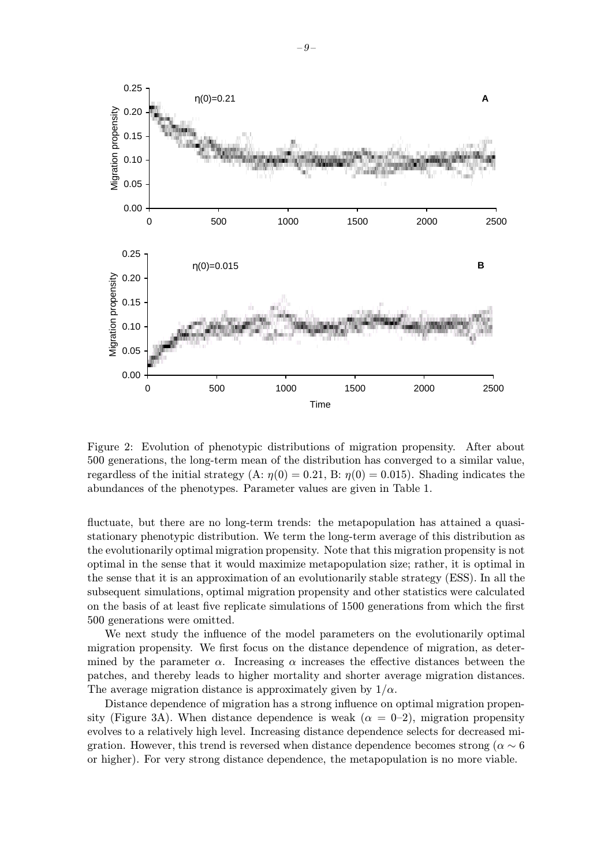

Figure 2: Evolution of phenotypic distributions of migration propensity. After about 500 generations, the long-term mean of the distribution has converged to a similar value, regardless of the initial strategy (A:  $\eta(0) = 0.21$ , B:  $\eta(0) = 0.015$ ). Shading indicates the abundances of the phenotypes. Parameter values are given in Table 1.

fluctuate, but there are no long-term trends: the metapopulation has attained a quasistationary phenotypic distribution. We term the long-term average of this distribution as the evolutionarily optimal migration propensity. Note that this migration propensity is not optimal in the sense that it would maximize metapopulation size; rather, it is optimal in the sense that it is an approximation of an evolutionarily stable strategy (ESS). In all the subsequent simulations, optimal migration propensity and other statistics were calculated on the basis of at least five replicate simulations of 1500 generations from which the first 500 generations were omitted.

We next study the influence of the model parameters on the evolutionarily optimal migration propensity. We first focus on the distance dependence of migration, as determined by the parameter  $\alpha$ . Increasing  $\alpha$  increases the effective distances between the patches, and thereby leads to higher mortality and shorter average migration distances. The average migration distance is approximately given by  $1/\alpha$ .

Distance dependence of migration has a strong influence on optimal migration propensity (Figure 3A). When distance dependence is weak  $(\alpha = 0-2)$ , migration propensity evolves to a relatively high level. Increasing distance dependence selects for decreased migration. However, this trend is reversed when distance dependence becomes strong ( $\alpha \sim 6$ ) or higher). For very strong distance dependence, the metapopulation is no more viable.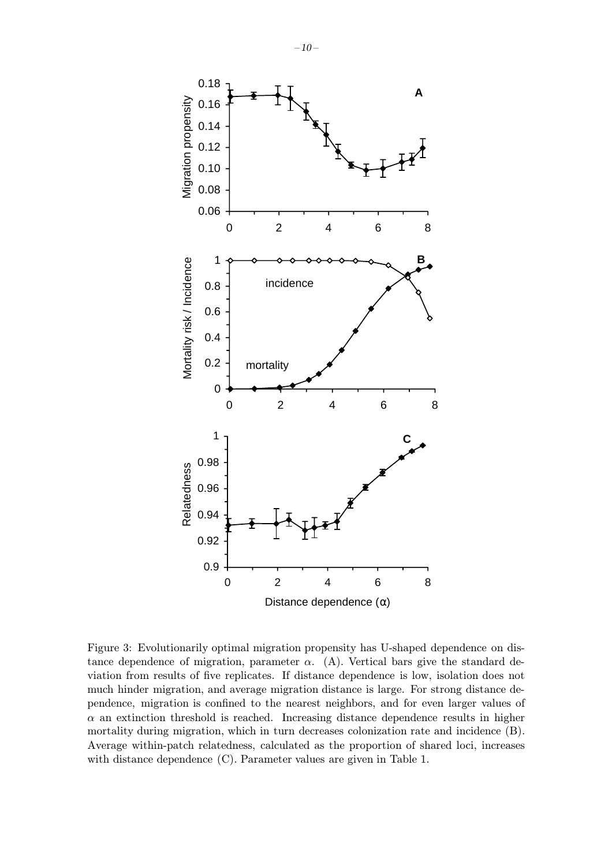

Figure 3: Evolutionarily optimal migration propensity has U-shaped dependence on distance dependence of migration, parameter  $\alpha$ . (A). Vertical bars give the standard deviation from results of five replicates. If distance dependence is low, isolation does not much hinder migration, and average migration distance is large. For strong distance dependence, migration is confined to the nearest neighbors, and for even larger values of  $\alpha$  an extinction threshold is reached. Increasing distance dependence results in higher mortality during migration, which in turn decreases colonization rate and incidence (B). Average within-patch relatedness, calculated as the proportion of shared loci, increases with distance dependence (C). Parameter values are given in Table 1.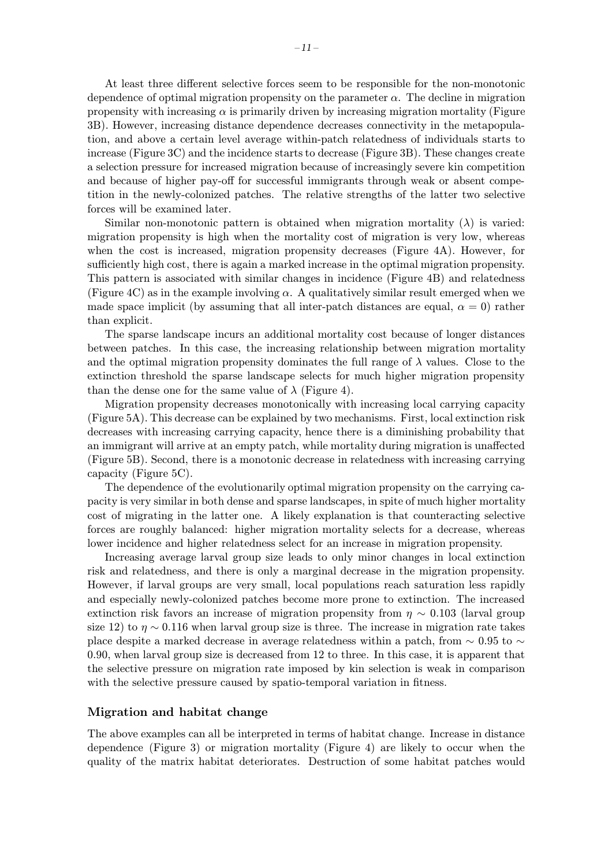At least three different selective forces seem to be responsible for the non-monotonic dependence of optimal migration propensity on the parameter  $\alpha$ . The decline in migration propensity with increasing  $\alpha$  is primarily driven by increasing migration mortality (Figure 3B). However, increasing distance dependence decreases connectivity in the metapopulation, and above a certain level average within-patch relatedness of individuals starts to increase (Figure 3C) and the incidence starts to decrease (Figure 3B). These changes create a selection pressure for increased migration because of increasingly severe kin competition and because of higher pay-off for successful immigrants through weak or absent competition in the newly-colonized patches. The relative strengths of the latter two selective forces will be examined later.

Similar non-monotonic pattern is obtained when migration mortality  $(\lambda)$  is varied: migration propensity is high when the mortality cost of migration is very low, whereas when the cost is increased, migration propensity decreases (Figure 4A). However, for sufficiently high cost, there is again a marked increase in the optimal migration propensity. This pattern is associated with similar changes in incidence (Figure 4B) and relatedness (Figure 4C) as in the example involving  $\alpha$ . A qualitatively similar result emerged when we made space implicit (by assuming that all inter-patch distances are equal,  $\alpha = 0$ ) rather than explicit.

The sparse landscape incurs an additional mortality cost because of longer distances between patches. In this case, the increasing relationship between migration mortality and the optimal migration propensity dominates the full range of  $\lambda$  values. Close to the extinction threshold the sparse landscape selects for much higher migration propensity than the dense one for the same value of  $\lambda$  (Figure 4).

Migration propensity decreases monotonically with increasing local carrying capacity (Figure 5A). This decrease can be explained by two mechanisms. First, local extinction risk decreases with increasing carrying capacity, hence there is a diminishing probability that an immigrant will arrive at an empty patch, while mortality during migration is unaffected (Figure 5B). Second, there is a monotonic decrease in relatedness with increasing carrying capacity (Figure 5C).

The dependence of the evolutionarily optimal migration propensity on the carrying capacity is very similar in both dense and sparse landscapes, in spite of much higher mortality cost of migrating in the latter one. A likely explanation is that counteracting selective forces are roughly balanced: higher migration mortality selects for a decrease, whereas lower incidence and higher relatedness select for an increase in migration propensity.

Increasing average larval group size leads to only minor changes in local extinction risk and relatedness, and there is only a marginal decrease in the migration propensity. However, if larval groups are very small, local populations reach saturation less rapidly and especially newly-colonized patches become more prone to extinction. The increased extinction risk favors an increase of migration propensity from  $\eta \sim 0.103$  (larval group size 12) to  $\eta \sim 0.116$  when larval group size is three. The increase in migration rate takes place despite a marked decrease in average relatedness within a patch, from  $\sim 0.95$  to  $\sim$ 0.90, when larval group size is decreased from 12 to three. In this case, it is apparent that the selective pressure on migration rate imposed by kin selection is weak in comparison with the selective pressure caused by spatio-temporal variation in fitness.

#### Migration and habitat change

The above examples can all be interpreted in terms of habitat change. Increase in distance dependence (Figure 3) or migration mortality (Figure 4) are likely to occur when the quality of the matrix habitat deteriorates. Destruction of some habitat patches would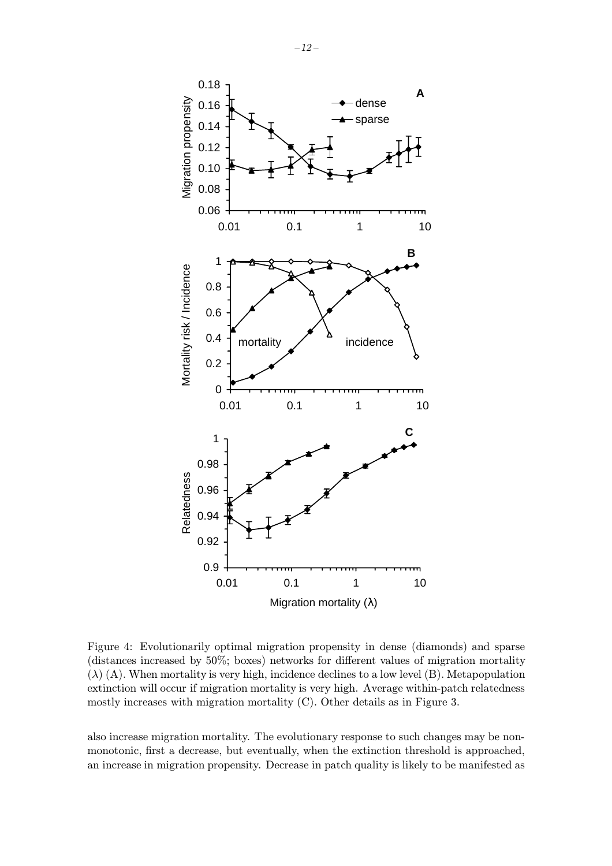

Figure 4: Evolutionarily optimal migration propensity in dense (diamonds) and sparse (distances increased by 50%; boxes) networks for different values of migration mortality  $(\lambda)$  (A). When mortality is very high, incidence declines to a low level (B). Metapopulation extinction will occur if migration mortality is very high. Average within-patch relatedness mostly increases with migration mortality (C). Other details as in Figure 3.

also increase migration mortality. The evolutionary response to such changes may be nonmonotonic, first a decrease, but eventually, when the extinction threshold is approached, an increase in migration propensity. Decrease in patch quality is likely to be manifested as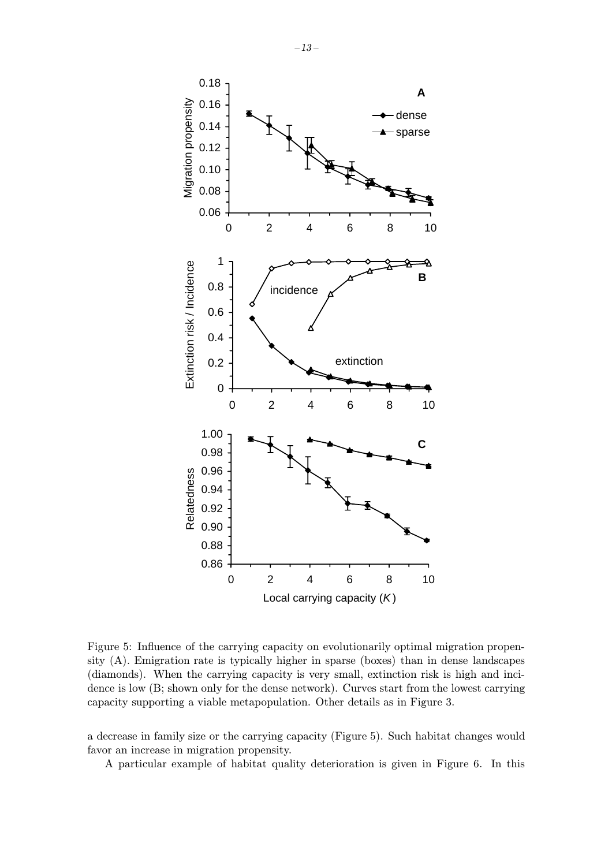

Figure 5: Influence of the carrying capacity on evolutionarily optimal migration propensity (A). Emigration rate is typically higher in sparse (boxes) than in dense landscapes (diamonds). When the carrying capacity is very small, extinction risk is high and incidence is low (B; shown only for the dense network). Curves start from the lowest carrying capacity supporting a viable metapopulation. Other details as in Figure 3.

a decrease in family size or the carrying capacity (Figure 5). Such habitat changes would favor an increase in migration propensity.

A particular example of habitat quality deterioration is given in Figure 6. In this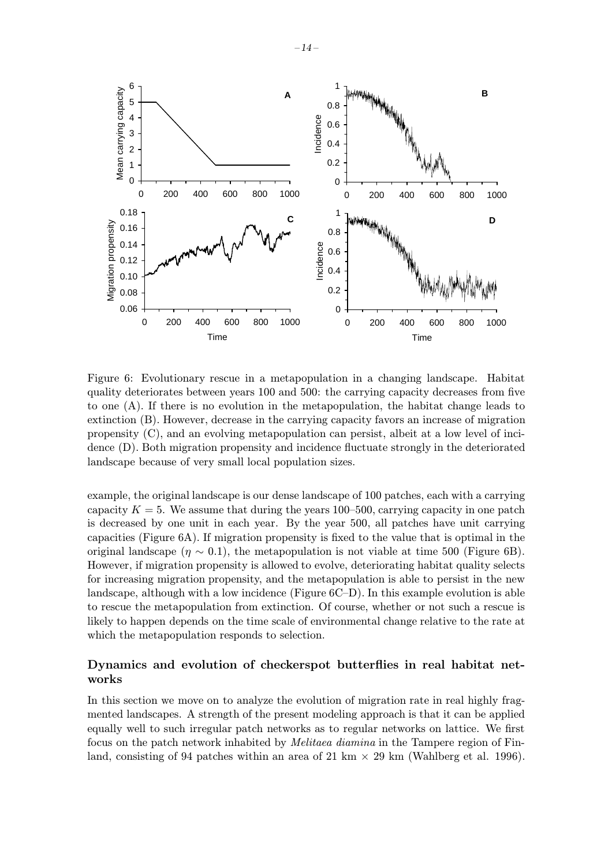

Figure 6: Evolutionary rescue in a metapopulation in a changing landscape. Habitat quality deteriorates between years 100 and 500: the carrying capacity decreases from five to one (A). If there is no evolution in the metapopulation, the habitat change leads to extinction (B). However, decrease in the carrying capacity favors an increase of migration propensity (C), and an evolving metapopulation can persist, albeit at a low level of incidence (D). Both migration propensity and incidence fluctuate strongly in the deteriorated landscape because of very small local population sizes.

example, the original landscape is our dense landscape of 100 patches, each with a carrying capacity  $K = 5$ . We assume that during the years 100–500, carrying capacity in one patch is decreased by one unit in each year. By the year 500, all patches have unit carrying capacities (Figure 6A). If migration propensity is fixed to the value that is optimal in the original landscape ( $\eta \sim 0.1$ ), the metapopulation is not viable at time 500 (Figure 6B). However, if migration propensity is allowed to evolve, deteriorating habitat quality selects for increasing migration propensity, and the metapopulation is able to persist in the new landscape, although with a low incidence (Figure 6C–D). In this example evolution is able to rescue the metapopulation from extinction. Of course, whether or not such a rescue is likely to happen depends on the time scale of environmental change relative to the rate at which the metapopulation responds to selection.

### Dynamics and evolution of checkerspot butterflies in real habitat networks

In this section we move on to analyze the evolution of migration rate in real highly fragmented landscapes. A strength of the present modeling approach is that it can be applied equally well to such irregular patch networks as to regular networks on lattice. We first focus on the patch network inhabited by Melitaea diamina in the Tampere region of Finland, consisting of 94 patches within an area of 21 km  $\times$  29 km (Wahlberg et al. 1996).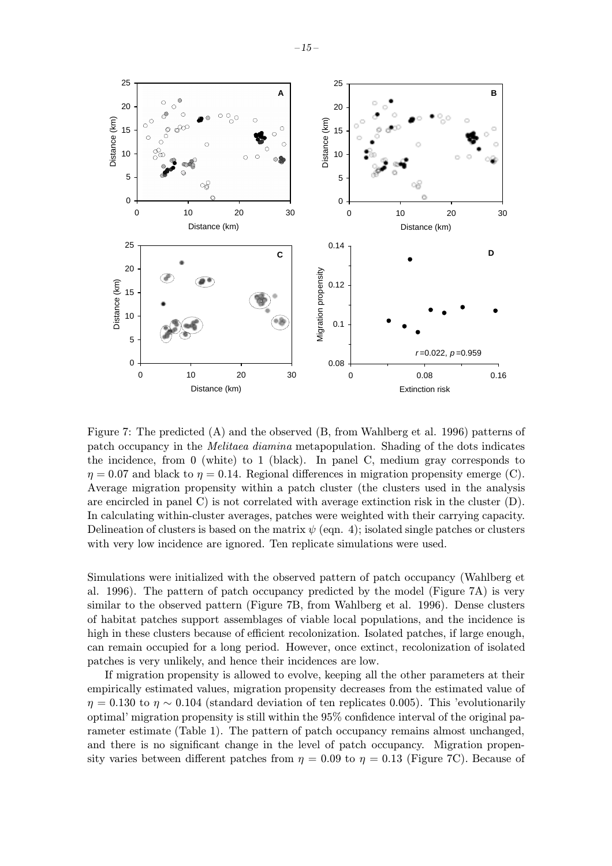

Figure 7: The predicted (A) and the observed (B, from Wahlberg et al. 1996) patterns of patch occupancy in the Melitaea diamina metapopulation. Shading of the dots indicates the incidence, from 0 (white) to 1 (black). In panel C, medium gray corresponds to  $\eta = 0.07$  and black to  $\eta = 0.14$ . Regional differences in migration propensity emerge (C). Average migration propensity within a patch cluster (the clusters used in the analysis are encircled in panel C) is not correlated with average extinction risk in the cluster  $(D)$ . In calculating within-cluster averages, patches were weighted with their carrying capacity. Delineation of clusters is based on the matrix  $\psi$  (eqn. 4); isolated single patches or clusters with very low incidence are ignored. Ten replicate simulations were used.

Simulations were initialized with the observed pattern of patch occupancy (Wahlberg et al. 1996). The pattern of patch occupancy predicted by the model (Figure 7A) is very similar to the observed pattern (Figure 7B, from Wahlberg et al. 1996). Dense clusters of habitat patches support assemblages of viable local populations, and the incidence is high in these clusters because of efficient recolonization. Isolated patches, if large enough, can remain occupied for a long period. However, once extinct, recolonization of isolated patches is very unlikely, and hence their incidences are low.

If migration propensity is allowed to evolve, keeping all the other parameters at their empirically estimated values, migration propensity decreases from the estimated value of  $\eta = 0.130$  to  $\eta \sim 0.104$  (standard deviation of ten replicates 0.005). This 'evolutionarily optimal' migration propensity is still within the 95% confidence interval of the original parameter estimate (Table 1). The pattern of patch occupancy remains almost unchanged, and there is no significant change in the level of patch occupancy. Migration propensity varies between different patches from  $\eta = 0.09$  to  $\eta = 0.13$  (Figure 7C). Because of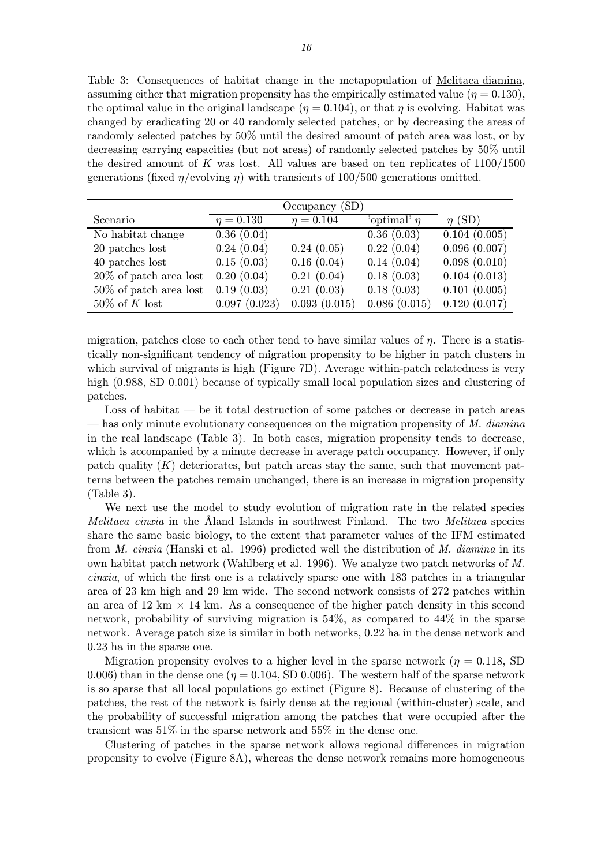Table 3: Consequences of habitat change in the metapopulation of Melitaea diamina, assuming either that migration propensity has the empirically estimated value ( $\eta = 0.130$ ), the optimal value in the original landscape ( $\eta = 0.104$ ), or that  $\eta$  is evolving. Habitat was changed by eradicating 20 or 40 randomly selected patches, or by decreasing the areas of randomly selected patches by 50% until the desired amount of patch area was lost, or by decreasing carrying capacities (but not areas) of randomly selected patches by 50% until the desired amount of K was lost. All values are based on ten replicates of  $1100/1500$ generations (fixed  $\eta$ /evolving  $\eta$ ) with transients of 100/500 generations omitted.

|                           | Occupancy (SD) |                |                  |              |
|---------------------------|----------------|----------------|------------------|--------------|
| Scenario                  | $\eta = 0.130$ | $\eta = 0.104$ | 'optimal' $\eta$ | $\eta$ (SD)  |
| No habitat change         | 0.36(0.04)     |                | 0.36(0.03)       | 0.104(0.005) |
| 20 patches lost           | 0.24(0.04)     | 0.24(0.05)     | 0.22(0.04)       | 0.096(0.007) |
| 40 patches lost           | 0.15(0.03)     | 0.16(0.04)     | 0.14(0.04)       | 0.098(0.010) |
| $20\%$ of patch area lost | 0.20(0.04)     | 0.21(0.04)     | 0.18(0.03)       | 0.104(0.013) |
| $50\%$ of patch area lost | 0.19(0.03)     | 0.21(0.03)     | 0.18(0.03)       | 0.101(0.005) |
| $50\%$ of K lost          | 0.097(0.023)   | 0.093(0.015)   | 0.086(0.015)     | 0.120(0.017) |

migration, patches close to each other tend to have similar values of  $\eta$ . There is a statistically non-significant tendency of migration propensity to be higher in patch clusters in which survival of migrants is high (Figure 7D). Average within-patch relatedness is very high (0.988, SD 0.001) because of typically small local population sizes and clustering of patches.

Loss of habitat — be it total destruction of some patches or decrease in patch areas  $-$  has only minute evolutionary consequences on the migration propensity of  $M$ . diamina in the real landscape (Table 3). In both cases, migration propensity tends to decrease, which is accompanied by a minute decrease in average patch occupancy. However, if only patch quality  $(K)$  deteriorates, but patch areas stay the same, such that movement patterns between the patches remain unchanged, there is an increase in migration propensity (Table 3).

We next use the model to study evolution of migration rate in the related species *Melitaea cinxia* in the Aland Islands in southwest Finland. The two *Melitaea* species share the same basic biology, to the extent that parameter values of the IFM estimated from *M. cinxia* (Hanski et al. 1996) predicted well the distribution of *M. diamina* in its own habitat patch network (Wahlberg et al. 1996). We analyze two patch networks of M. cinxia, of which the first one is a relatively sparse one with 183 patches in a triangular area of 23 km high and 29 km wide. The second network consists of 272 patches within an area of 12 km  $\times$  14 km. As a consequence of the higher patch density in this second network, probability of surviving migration is 54%, as compared to 44% in the sparse network. Average patch size is similar in both networks, 0.22 ha in the dense network and 0.23 ha in the sparse one.

Migration propensity evolves to a higher level in the sparse network ( $\eta = 0.118$ , SD 0.006) than in the dense one ( $\eta = 0.104$ , SD 0.006). The western half of the sparse network is so sparse that all local populations go extinct (Figure 8). Because of clustering of the patches, the rest of the network is fairly dense at the regional (within-cluster) scale, and the probability of successful migration among the patches that were occupied after the transient was 51% in the sparse network and 55% in the dense one.

Clustering of patches in the sparse network allows regional differences in migration propensity to evolve (Figure 8A), whereas the dense network remains more homogeneous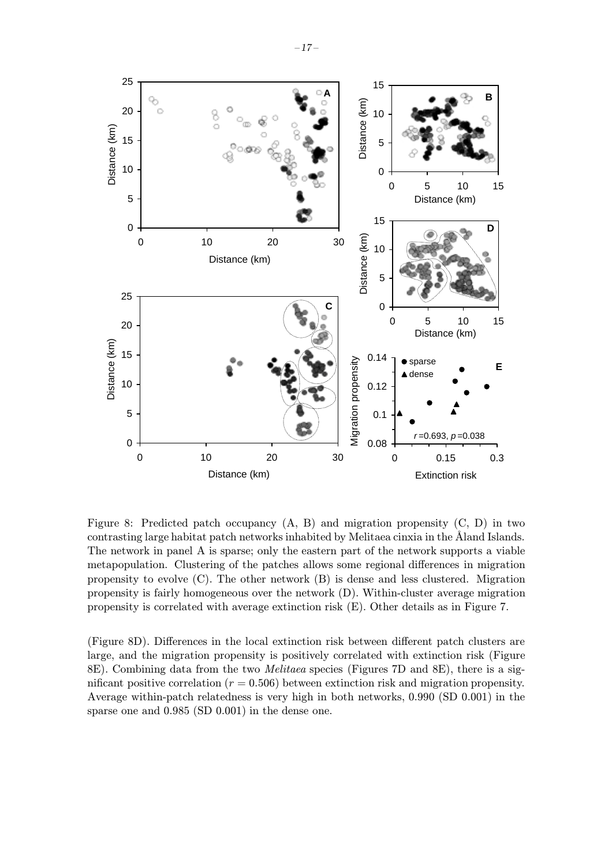

Figure 8: Predicted patch occupancy (A, B) and migration propensity (C, D) in two contrasting large habitat patch networks inhabited by Melitaea cinxia in the Åland Islands. The network in panel A is sparse; only the eastern part of the network supports a viable metapopulation. Clustering of the patches allows some regional differences in migration propensity to evolve (C). The other network (B) is dense and less clustered. Migration propensity is fairly homogeneous over the network (D). Within-cluster average migration propensity is correlated with average extinction risk (E). Other details as in Figure 7.

(Figure 8D). Differences in the local extinction risk between different patch clusters are large, and the migration propensity is positively correlated with extinction risk (Figure 8E). Combining data from the two Melitaea species (Figures 7D and 8E), there is a significant positive correlation ( $r = 0.506$ ) between extinction risk and migration propensity. Average within-patch relatedness is very high in both networks, 0.990 (SD 0.001) in the sparse one and 0.985 (SD 0.001) in the dense one.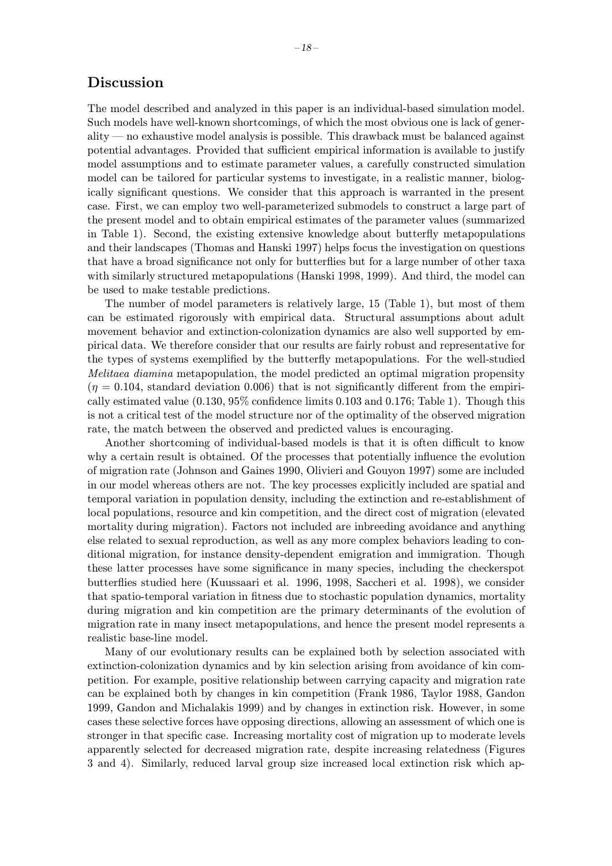## Discussion

The model described and analyzed in this paper is an individual-based simulation model. Such models have well-known shortcomings, of which the most obvious one is lack of generality — no exhaustive model analysis is possible. This drawback must be balanced against potential advantages. Provided that sufficient empirical information is available to justify model assumptions and to estimate parameter values, a carefully constructed simulation model can be tailored for particular systems to investigate, in a realistic manner, biologically significant questions. We consider that this approach is warranted in the present case. First, we can employ two well-parameterized submodels to construct a large part of the present model and to obtain empirical estimates of the parameter values (summarized in Table 1). Second, the existing extensive knowledge about butterfly metapopulations and their landscapes (Thomas and Hanski 1997) helps focus the investigation on questions that have a broad significance not only for butterflies but for a large number of other taxa with similarly structured metapopulations (Hanski 1998, 1999). And third, the model can be used to make testable predictions.

The number of model parameters is relatively large, 15 (Table 1), but most of them can be estimated rigorously with empirical data. Structural assumptions about adult movement behavior and extinction-colonization dynamics are also well supported by empirical data. We therefore consider that our results are fairly robust and representative for the types of systems exemplified by the butterfly metapopulations. For the well-studied Melitaea diamina metapopulation, the model predicted an optimal migration propensity  $(\eta = 0.104$ , standard deviation 0.006) that is not significantly different from the empirically estimated value (0.130, 95% confidence limits 0.103 and 0.176; Table 1). Though this is not a critical test of the model structure nor of the optimality of the observed migration rate, the match between the observed and predicted values is encouraging.

Another shortcoming of individual-based models is that it is often difficult to know why a certain result is obtained. Of the processes that potentially influence the evolution of migration rate (Johnson and Gaines 1990, Olivieri and Gouyon 1997) some are included in our model whereas others are not. The key processes explicitly included are spatial and temporal variation in population density, including the extinction and re-establishment of local populations, resource and kin competition, and the direct cost of migration (elevated mortality during migration). Factors not included are inbreeding avoidance and anything else related to sexual reproduction, as well as any more complex behaviors leading to conditional migration, for instance density-dependent emigration and immigration. Though these latter processes have some significance in many species, including the checkerspot butterflies studied here (Kuussaari et al. 1996, 1998, Saccheri et al. 1998), we consider that spatio-temporal variation in fitness due to stochastic population dynamics, mortality during migration and kin competition are the primary determinants of the evolution of migration rate in many insect metapopulations, and hence the present model represents a realistic base-line model.

Many of our evolutionary results can be explained both by selection associated with extinction-colonization dynamics and by kin selection arising from avoidance of kin competition. For example, positive relationship between carrying capacity and migration rate can be explained both by changes in kin competition (Frank 1986, Taylor 1988, Gandon 1999, Gandon and Michalakis 1999) and by changes in extinction risk. However, in some cases these selective forces have opposing directions, allowing an assessment of which one is stronger in that specific case. Increasing mortality cost of migration up to moderate levels apparently selected for decreased migration rate, despite increasing relatedness (Figures 3 and 4). Similarly, reduced larval group size increased local extinction risk which ap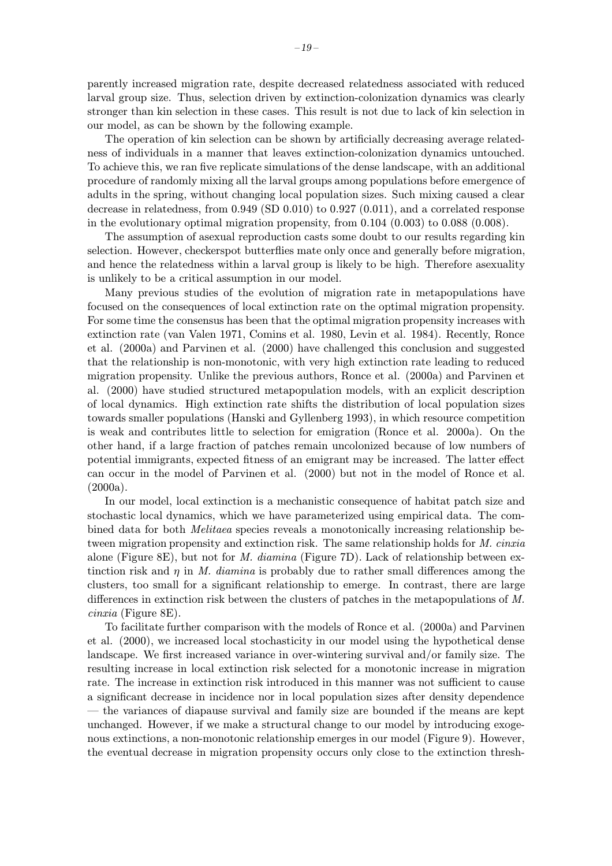parently increased migration rate, despite decreased relatedness associated with reduced larval group size. Thus, selection driven by extinction-colonization dynamics was clearly stronger than kin selection in these cases. This result is not due to lack of kin selection in our model, as can be shown by the following example.

The operation of kin selection can be shown by artificially decreasing average relatedness of individuals in a manner that leaves extinction-colonization dynamics untouched. To achieve this, we ran five replicate simulations of the dense landscape, with an additional procedure of randomly mixing all the larval groups among populations before emergence of adults in the spring, without changing local population sizes. Such mixing caused a clear decrease in relatedness, from 0.949 (SD 0.010) to 0.927 (0.011), and a correlated response in the evolutionary optimal migration propensity, from 0.104 (0.003) to 0.088 (0.008).

The assumption of asexual reproduction casts some doubt to our results regarding kin selection. However, checkerspot butterflies mate only once and generally before migration, and hence the relatedness within a larval group is likely to be high. Therefore asexuality is unlikely to be a critical assumption in our model.

Many previous studies of the evolution of migration rate in metapopulations have focused on the consequences of local extinction rate on the optimal migration propensity. For some time the consensus has been that the optimal migration propensity increases with extinction rate (van Valen 1971, Comins et al. 1980, Levin et al. 1984). Recently, Ronce et al. (2000a) and Parvinen et al. (2000) have challenged this conclusion and suggested that the relationship is non-monotonic, with very high extinction rate leading to reduced migration propensity. Unlike the previous authors, Ronce et al. (2000a) and Parvinen et al. (2000) have studied structured metapopulation models, with an explicit description of local dynamics. High extinction rate shifts the distribution of local population sizes towards smaller populations (Hanski and Gyllenberg 1993), in which resource competition is weak and contributes little to selection for emigration (Ronce et al. 2000a). On the other hand, if a large fraction of patches remain uncolonized because of low numbers of potential immigrants, expected fitness of an emigrant may be increased. The latter effect can occur in the model of Parvinen et al. (2000) but not in the model of Ronce et al.  $(2000a).$ 

In our model, local extinction is a mechanistic consequence of habitat patch size and stochastic local dynamics, which we have parameterized using empirical data. The combined data for both Melitaea species reveals a monotonically increasing relationship between migration propensity and extinction risk. The same relationship holds for M. cinxia alone (Figure 8E), but not for M. diamina (Figure 7D). Lack of relationship between extinction risk and  $\eta$  in M. diamina is probably due to rather small differences among the clusters, too small for a significant relationship to emerge. In contrast, there are large differences in extinction risk between the clusters of patches in the metapopulations of M. cinxia (Figure 8E).

To facilitate further comparison with the models of Ronce et al. (2000a) and Parvinen et al. (2000), we increased local stochasticity in our model using the hypothetical dense landscape. We first increased variance in over-wintering survival and/or family size. The resulting increase in local extinction risk selected for a monotonic increase in migration rate. The increase in extinction risk introduced in this manner was not sufficient to cause a significant decrease in incidence nor in local population sizes after density dependence — the variances of diapause survival and family size are bounded if the means are kept unchanged. However, if we make a structural change to our model by introducing exogenous extinctions, a non-monotonic relationship emerges in our model (Figure 9). However, the eventual decrease in migration propensity occurs only close to the extinction thresh-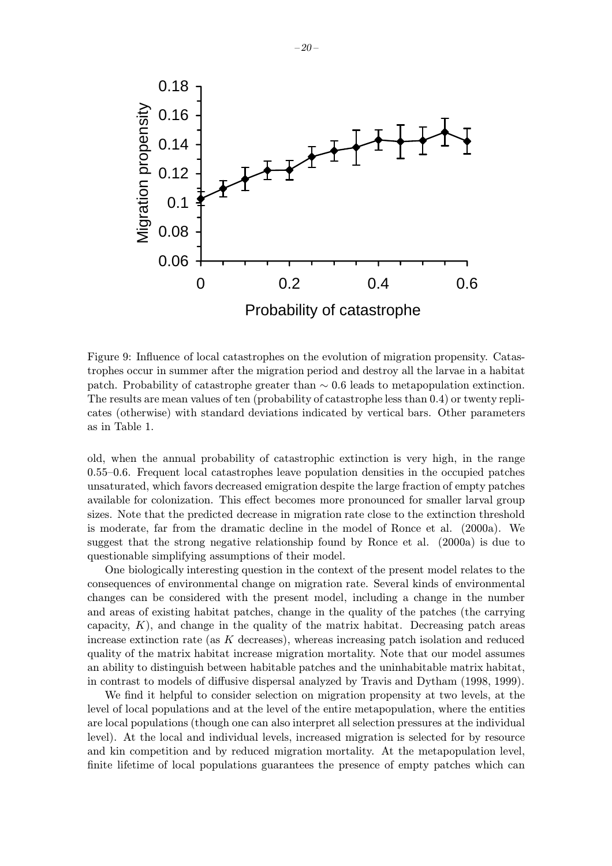

Figure 9: Influence of local catastrophes on the evolution of migration propensity. Catastrophes occur in summer after the migration period and destroy all the larvae in a habitat patch. Probability of catastrophe greater than  $\sim 0.6$  leads to metapopulation extinction. The results are mean values of ten (probability of catastrophe less than 0.4) or twenty replicates (otherwise) with standard deviations indicated by vertical bars. Other parameters as in Table 1.

old, when the annual probability of catastrophic extinction is very high, in the range 0.55–0.6. Frequent local catastrophes leave population densities in the occupied patches unsaturated, which favors decreased emigration despite the large fraction of empty patches available for colonization. This effect becomes more pronounced for smaller larval group sizes. Note that the predicted decrease in migration rate close to the extinction threshold is moderate, far from the dramatic decline in the model of Ronce et al. (2000a). We suggest that the strong negative relationship found by Ronce et al. (2000a) is due to questionable simplifying assumptions of their model.

One biologically interesting question in the context of the present model relates to the consequences of environmental change on migration rate. Several kinds of environmental changes can be considered with the present model, including a change in the number and areas of existing habitat patches, change in the quality of the patches (the carrying capacity,  $K$ ), and change in the quality of the matrix habitat. Decreasing patch areas increase extinction rate (as  $K$  decreases), whereas increasing patch isolation and reduced quality of the matrix habitat increase migration mortality. Note that our model assumes an ability to distinguish between habitable patches and the uninhabitable matrix habitat, in contrast to models of diffusive dispersal analyzed by Travis and Dytham (1998, 1999).

We find it helpful to consider selection on migration propensity at two levels, at the level of local populations and at the level of the entire metapopulation, where the entities are local populations (though one can also interpret all selection pressures at the individual level). At the local and individual levels, increased migration is selected for by resource and kin competition and by reduced migration mortality. At the metapopulation level, finite lifetime of local populations guarantees the presence of empty patches which can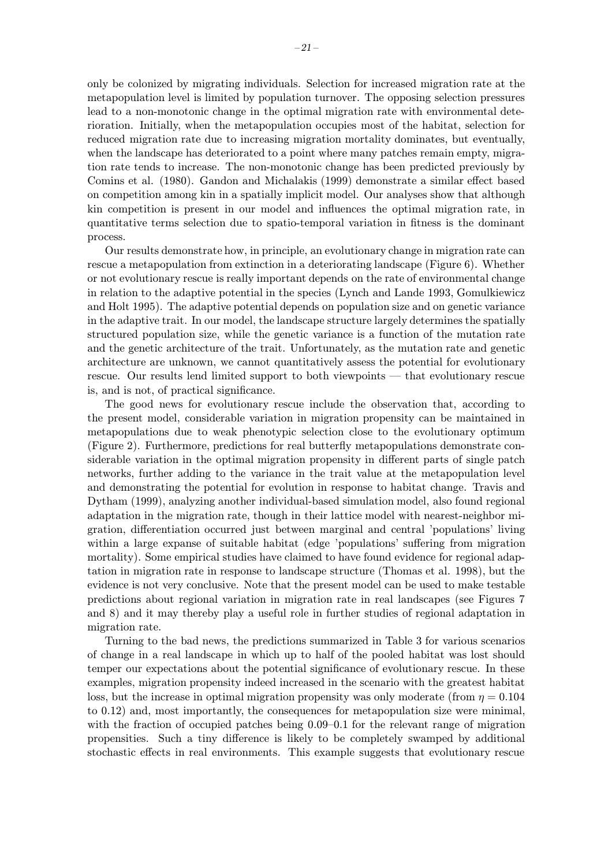only be colonized by migrating individuals. Selection for increased migration rate at the metapopulation level is limited by population turnover. The opposing selection pressures lead to a non-monotonic change in the optimal migration rate with environmental deterioration. Initially, when the metapopulation occupies most of the habitat, selection for reduced migration rate due to increasing migration mortality dominates, but eventually, when the landscape has deteriorated to a point where many patches remain empty, migration rate tends to increase. The non-monotonic change has been predicted previously by Comins et al. (1980). Gandon and Michalakis (1999) demonstrate a similar effect based on competition among kin in a spatially implicit model. Our analyses show that although kin competition is present in our model and influences the optimal migration rate, in quantitative terms selection due to spatio-temporal variation in fitness is the dominant process.

Our results demonstrate how, in principle, an evolutionary change in migration rate can rescue a metapopulation from extinction in a deteriorating landscape (Figure 6). Whether or not evolutionary rescue is really important depends on the rate of environmental change in relation to the adaptive potential in the species (Lynch and Lande 1993, Gomulkiewicz and Holt 1995). The adaptive potential depends on population size and on genetic variance in the adaptive trait. In our model, the landscape structure largely determines the spatially structured population size, while the genetic variance is a function of the mutation rate and the genetic architecture of the trait. Unfortunately, as the mutation rate and genetic architecture are unknown, we cannot quantitatively assess the potential for evolutionary rescue. Our results lend limited support to both viewpoints — that evolutionary rescue is, and is not, of practical significance.

The good news for evolutionary rescue include the observation that, according to the present model, considerable variation in migration propensity can be maintained in metapopulations due to weak phenotypic selection close to the evolutionary optimum (Figure 2). Furthermore, predictions for real butterfly metapopulations demonstrate considerable variation in the optimal migration propensity in different parts of single patch networks, further adding to the variance in the trait value at the metapopulation level and demonstrating the potential for evolution in response to habitat change. Travis and Dytham (1999), analyzing another individual-based simulation model, also found regional adaptation in the migration rate, though in their lattice model with nearest-neighbor migration, differentiation occurred just between marginal and central 'populations' living within a large expanse of suitable habitat (edge 'populations' suffering from migration mortality). Some empirical studies have claimed to have found evidence for regional adaptation in migration rate in response to landscape structure (Thomas et al. 1998), but the evidence is not very conclusive. Note that the present model can be used to make testable predictions about regional variation in migration rate in real landscapes (see Figures 7 and 8) and it may thereby play a useful role in further studies of regional adaptation in migration rate.

Turning to the bad news, the predictions summarized in Table 3 for various scenarios of change in a real landscape in which up to half of the pooled habitat was lost should temper our expectations about the potential significance of evolutionary rescue. In these examples, migration propensity indeed increased in the scenario with the greatest habitat loss, but the increase in optimal migration propensity was only moderate (from  $\eta = 0.104$ ) to 0.12) and, most importantly, the consequences for metapopulation size were minimal, with the fraction of occupied patches being 0.09–0.1 for the relevant range of migration propensities. Such a tiny difference is likely to be completely swamped by additional stochastic effects in real environments. This example suggests that evolutionary rescue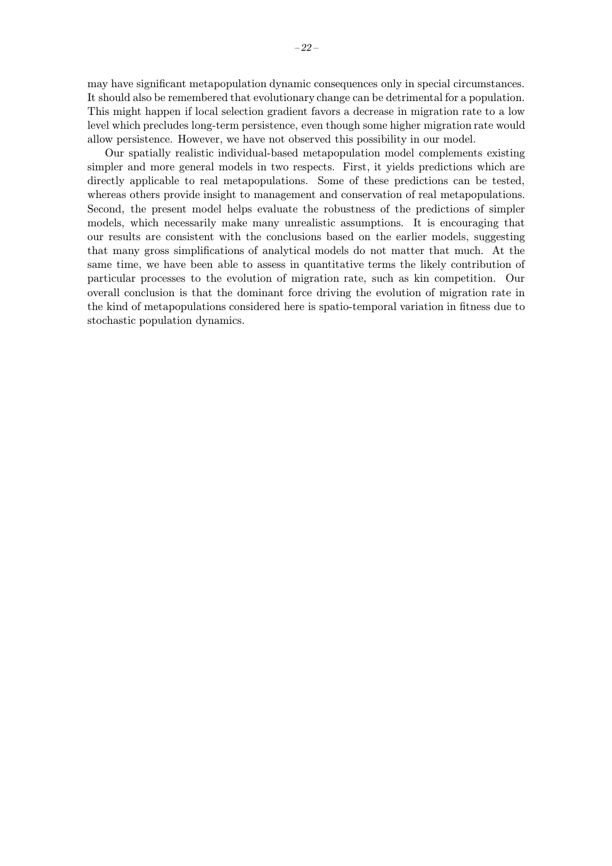may have significant metapopulation dynamic consequences only in special circumstances. It should also be remembered that evolutionary change can be detrimental for a population. This might happen if local selection gradient favors a decrease in migration rate to a low level which precludes long-term persistence, even though some higher migration rate would allow persistence. However, we have not observed this possibility in our model.

Our spatially realistic individual-based metapopulation model complements existing simpler and more general models in two respects. First, it yields predictions which are directly applicable to real metapopulations. Some of these predictions can be tested, whereas others provide insight to management and conservation of real metapopulations. Second, the present model helps evaluate the robustness of the predictions of simpler models, which necessarily make many unrealistic assumptions. It is encouraging that our results are consistent with the conclusions based on the earlier models, suggesting that many gross simplifications of analytical models do not matter that much. At the same time, we have been able to assess in quantitative terms the likely contribution of particular processes to the evolution of migration rate, such as kin competition. Our overall conclusion is that the dominant force driving the evolution of migration rate in the kind of metapopulations considered here is spatio-temporal variation in fitness due to stochastic population dynamics.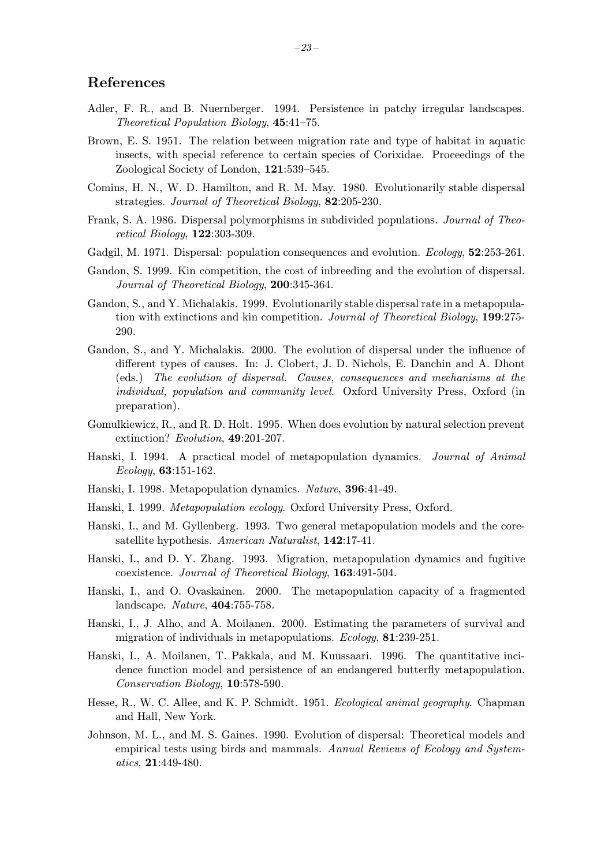### References

- Adler, F. R., and B. Nuernberger. 1994. Persistence in patchy irregular landscapes. Theoretical Population Biology, 45:41–75.
- Brown, E. S. 1951. The relation between migration rate and type of habitat in aquatic insects, with special reference to certain species of Corixidae. Proceedings of the Zoological Society of London, 121:539–545.
- Comins, H. N., W. D. Hamilton, and R. M. May. 1980. Evolutionarily stable dispersal strategies. Journal of Theoretical Biology, 82:205-230.
- Frank, S. A. 1986. Dispersal polymorphisms in subdivided populations. Journal of Theoretical Biology, 122:303-309.
- Gadgil, M. 1971. Dispersal: population consequences and evolution. *Ecology*, **52**:253-261.
- Gandon, S. 1999. Kin competition, the cost of inbreeding and the evolution of dispersal. Journal of Theoretical Biology, 200:345-364.
- Gandon, S., and Y. Michalakis. 1999. Evolutionarily stable dispersal rate in a metapopulation with extinctions and kin competition. Journal of Theoretical Biology, 199:275- 290.
- Gandon, S., and Y. Michalakis. 2000. The evolution of dispersal under the influence of different types of causes. In: J. Clobert, J. D. Nichols, E. Danchin and A. Dhont (eds.) The evolution of dispersal. Causes, consequences and mechanisms at the individual, population and community level. Oxford University Press, Oxford (in preparation).
- Gomulkiewicz, R., and R. D. Holt. 1995. When does evolution by natural selection prevent extinction? Evolution, 49:201-207.
- Hanski, I. 1994. A practical model of metapopulation dynamics. Journal of Animal Ecology, 63:151-162.
- Hanski, I. 1998. Metapopulation dynamics. Nature, 396:41-49.
- Hanski, I. 1999. Metapopulation ecology. Oxford University Press, Oxford.
- Hanski, I., and M. Gyllenberg. 1993. Two general metapopulation models and the coresatellite hypothesis. American Naturalist, 142:17-41.
- Hanski, I., and D. Y. Zhang. 1993. Migration, metapopulation dynamics and fugitive coexistence. Journal of Theoretical Biology, 163:491-504.
- Hanski, I., and O. Ovaskainen. 2000. The metapopulation capacity of a fragmented landscape. Nature, 404:755-758.
- Hanski, I., J. Alho, and A. Moilanen. 2000. Estimating the parameters of survival and migration of individuals in metapopulations. Ecology, 81:239-251.
- Hanski, I., A. Moilanen, T. Pakkala, and M. Kuussaari. 1996. The quantitative incidence function model and persistence of an endangered butterfly metapopulation. Conservation Biology, 10:578-590.
- Hesse, R., W. C. Allee, and K. P. Schmidt. 1951. Ecological animal geography. Chapman and Hall, New York.
- Johnson, M. L., and M. S. Gaines. 1990. Evolution of dispersal: Theoretical models and empirical tests using birds and mammals. Annual Reviews of Ecology and Systematics, 21:449-480.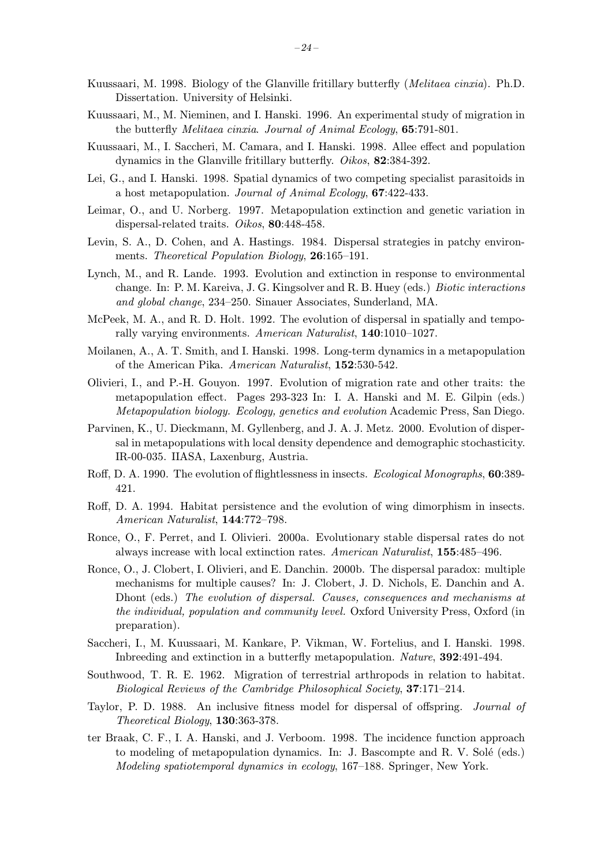- Kuussaari, M. 1998. Biology of the Glanville fritillary butterfly (Melitaea cinxia). Ph.D. Dissertation. University of Helsinki.
- Kuussaari, M., M. Nieminen, and I. Hanski. 1996. An experimental study of migration in the butterfly Melitaea cinxia. Journal of Animal Ecology, 65:791-801.
- Kuussaari, M., I. Saccheri, M. Camara, and I. Hanski. 1998. Allee effect and population dynamics in the Glanville fritillary butterfly. Oikos, 82:384-392.
- Lei, G., and I. Hanski. 1998. Spatial dynamics of two competing specialist parasitoids in a host metapopulation. Journal of Animal Ecology, 67:422-433.
- Leimar, O., and U. Norberg. 1997. Metapopulation extinction and genetic variation in dispersal-related traits. Oikos, 80:448-458.
- Levin, S. A., D. Cohen, and A. Hastings. 1984. Dispersal strategies in patchy environments. Theoretical Population Biology, 26:165–191.
- Lynch, M., and R. Lande. 1993. Evolution and extinction in response to environmental change. In: P. M. Kareiva, J. G. Kingsolver and R. B. Huey (eds.) Biotic interactions and global change, 234–250. Sinauer Associates, Sunderland, MA.
- McPeek, M. A., and R. D. Holt. 1992. The evolution of dispersal in spatially and temporally varying environments. American Naturalist, 140:1010–1027.
- Moilanen, A., A. T. Smith, and I. Hanski. 1998. Long-term dynamics in a metapopulation of the American Pika. American Naturalist, 152:530-542.
- Olivieri, I., and P.-H. Gouyon. 1997. Evolution of migration rate and other traits: the metapopulation effect. Pages 293-323 In: I. A. Hanski and M. E. Gilpin (eds.) Metapopulation biology. Ecology, genetics and evolution Academic Press, San Diego.
- Parvinen, K., U. Dieckmann, M. Gyllenberg, and J. A. J. Metz. 2000. Evolution of dispersal in metapopulations with local density dependence and demographic stochasticity. IR-00-035. IIASA, Laxenburg, Austria.
- Roff, D. A. 1990. The evolution of flightlessness in insects. Ecological Monographs, **60**:389-421.
- Roff, D. A. 1994. Habitat persistence and the evolution of wing dimorphism in insects. American Naturalist, 144:772–798.
- Ronce, O., F. Perret, and I. Olivieri. 2000a. Evolutionary stable dispersal rates do not always increase with local extinction rates. American Naturalist, 155:485–496.
- Ronce, O., J. Clobert, I. Olivieri, and E. Danchin. 2000b. The dispersal paradox: multiple mechanisms for multiple causes? In: J. Clobert, J. D. Nichols, E. Danchin and A. Dhont (eds.) The evolution of dispersal. Causes, consequences and mechanisms at the individual, population and community level. Oxford University Press, Oxford (in preparation).
- Saccheri, I., M. Kuussaari, M. Kankare, P. Vikman, W. Fortelius, and I. Hanski. 1998. Inbreeding and extinction in a butterfly metapopulation. Nature, 392:491-494.
- Southwood, T. R. E. 1962. Migration of terrestrial arthropods in relation to habitat. Biological Reviews of the Cambridge Philosophical Society, 37:171–214.
- Taylor, P. D. 1988. An inclusive fitness model for dispersal of offspring. Journal of Theoretical Biology, 130:363-378.
- ter Braak, C. F., I. A. Hanski, and J. Verboom. 1998. The incidence function approach to modeling of metapopulation dynamics. In: J. Bascompte and R. V. Solé (eds.) Modeling spatiotemporal dynamics in ecology, 167–188. Springer, New York.